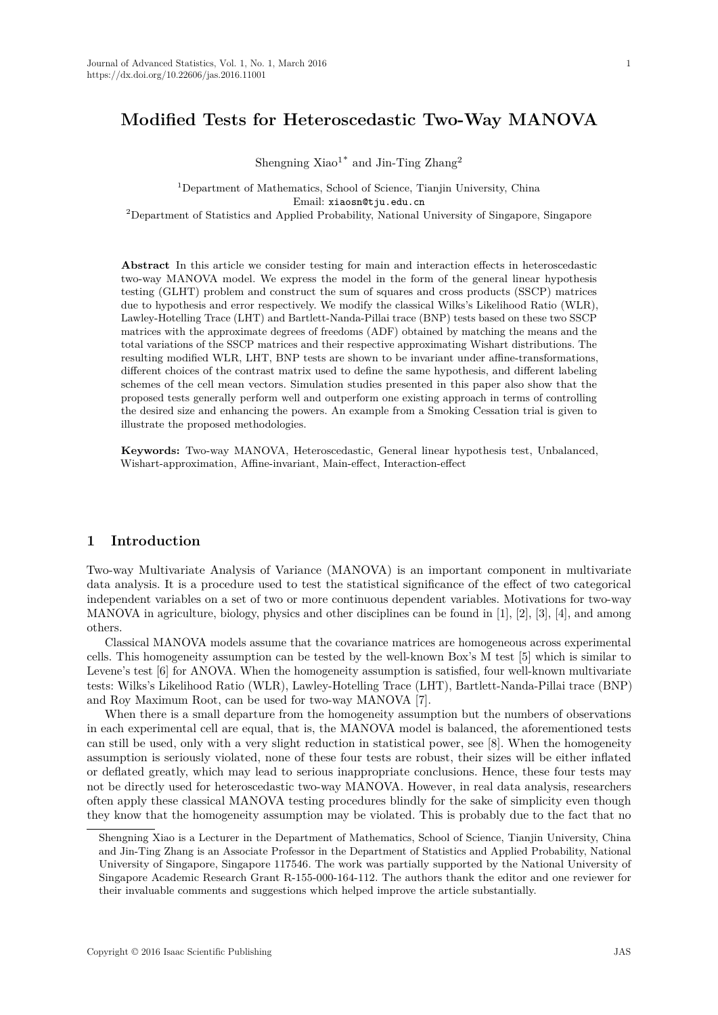# **Modified Tests for Heteroscedastic Two-Way MANOVA**

Shengning  $Xiao<sup>1*</sup>$  and Jin-Ting  $Zhang<sup>2</sup>$ 

<sup>1</sup>Department of Mathematics, School of Science, Tianjin University, China Email: xiaosn@tju.edu.cn <sup>2</sup>Department of Statistics and Applied Probability, National University of Singapore, Singapore

**Abstract** In this article we consider testing for main and interaction effects in heteroscedastic two-way MANOVA model. We express the model in the form of the general linear hypothesis testing (GLHT) problem and construct the sum of squares and cross products (SSCP) matrices due to hypothesis and error respectively. We modify the classical Wilks's Likelihood Ratio (WLR), Lawley-Hotelling Trace (LHT) and Bartlett-Nanda-Pillai trace (BNP) tests based on these two SSCP matrices with the approximate degrees of freedoms (ADF) obtained by matching the means and the total variations of the SSCP matrices and their respective approximating Wishart distributions. The resulting modified WLR, LHT, BNP tests are shown to be invariant under affine-transformations, different choices of the contrast matrix used to define the same hypothesis, and different labeling schemes of the cell mean vectors. Simulation studies presented in this paper also show that the proposed tests generally perform well and outperform one existing approach in terms of controlling the desired size and enhancing the powers. An example from a Smoking Cessation trial is given to illustrate the proposed methodologies.

**Keywords:** Two-way MANOVA, Heteroscedastic, General linear hypothesis test, Unbalanced, Wishart-approximation, Affine-invariant, Main-effect, Interaction-effect

### **1 Introduction**

Two-way Multivariate Analysis of Variance (MANOVA) is an important component in multivariate data analysis. It is a procedure used to test the statistical significance of the effect of two categorical independent variables on a set of two or more continuous dependent variables. Motivations for two-way MANOVA in agriculture, biology, physics and other disciplines can be found in [1], [2], [3], [4], and among others.

Classical MANOVA models assume that the covariance matrices are homogeneous across experimental cells. This homogeneity assumption can be tested by the well-known Box's M test [5] which is similar to Levene's test [6] for ANOVA. When the homogeneity assumption is satisfied, four well-known multivariate tests: Wilks's Likelihood Ratio (WLR), Lawley-Hotelling Trace (LHT), Bartlett-Nanda-Pillai trace (BNP) and Roy Maximum Root, can be used for two-way MANOVA [7].

When there is a small departure from the homogeneity assumption but the numbers of observations in each experimental cell are equal, that is, the MANOVA model is balanced, the aforementioned tests can still be used, only with a very slight reduction in statistical power, see [8]. When the homogeneity assumption is seriously violated, none of these four tests are robust, their sizes will be either inflated or deflated greatly, which may lead to serious inappropriate conclusions. Hence, these four tests may not be directly used for heteroscedastic two-way MANOVA. However, in real data analysis, researchers often apply these classical MANOVA testing procedures blindly for the sake of simplicity even though they know that the homogeneity assumption may be violated. This is probably due to the fact that no

Shengning Xiao is a Lecturer in the Department of Mathematics, School of Science, Tianjin University, China and Jin-Ting Zhang is an Associate Professor in the Department of Statistics and Applied Probability, National University of Singapore, Singapore 117546. The work was partially supported by the National University of Singapore Academic Research Grant R-155-000-164-112. The authors thank the editor and one reviewer for their invaluable comments and suggestions which helped improve the article substantially.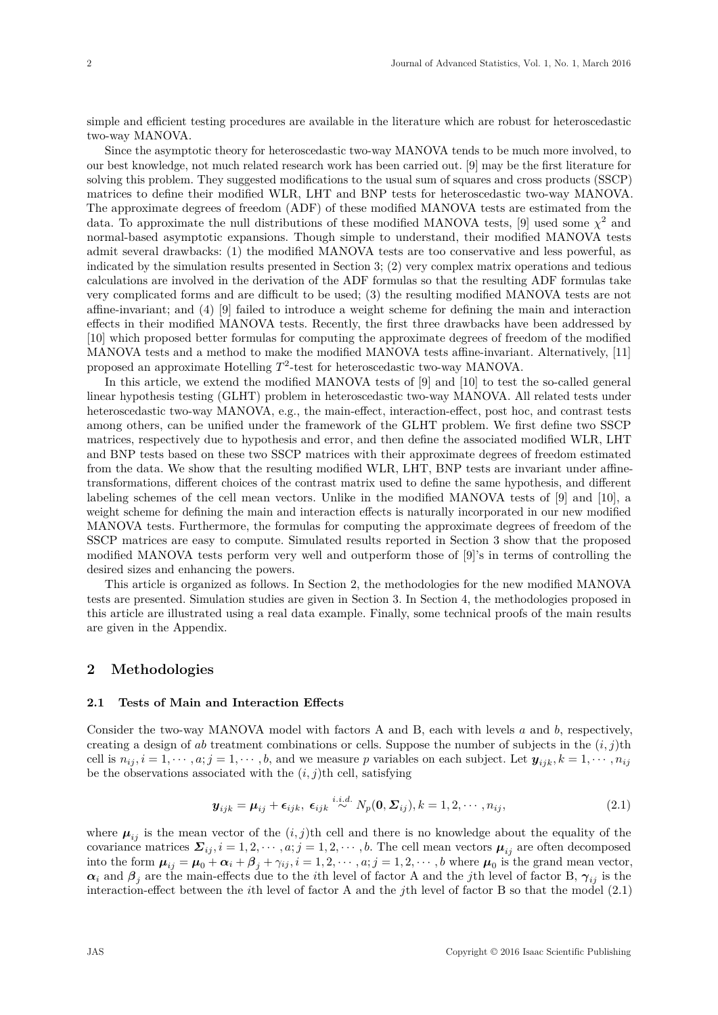simple and efficient testing procedures are available in the literature which are robust for heteroscedastic two-way MANOVA.

Since the asymptotic theory for heteroscedastic two-way MANOVA tends to be much more involved, to our best knowledge, not much related research work has been carried out. [9] may be the first literature for solving this problem. They suggested modifications to the usual sum of squares and cross products (SSCP) matrices to define their modified WLR, LHT and BNP tests for heteroscedastic two-way MANOVA. The approximate degrees of freedom (ADF) of these modified MANOVA tests are estimated from the data. To approximate the null distributions of these modified MANOVA tests, [9] used some  $\chi^2$  and normal-based asymptotic expansions. Though simple to understand, their modified MANOVA tests admit several drawbacks: (1) the modified MANOVA tests are too conservative and less powerful, as indicated by the simulation results presented in Section 3; (2) very complex matrix operations and tedious calculations are involved in the derivation of the ADF formulas so that the resulting ADF formulas take very complicated forms and are difficult to be used; (3) the resulting modified MANOVA tests are not affine-invariant; and (4) [9] failed to introduce a weight scheme for defining the main and interaction effects in their modified MANOVA tests. Recently, the first three drawbacks have been addressed by [10] which proposed better formulas for computing the approximate degrees of freedom of the modified MANOVA tests and a method to make the modified MANOVA tests affine-invariant. Alternatively, [11] proposed an approximate Hotelling  $T^2$ -test for heteroscedastic two-way MANOVA.

In this article, we extend the modified MANOVA tests of [9] and [10] to test the so-called general linear hypothesis testing (GLHT) problem in heteroscedastic two-way MANOVA. All related tests under heteroscedastic two-way MANOVA, e.g., the main-effect, interaction-effect, post hoc, and contrast tests among others, can be unified under the framework of the GLHT problem. We first define two SSCP matrices, respectively due to hypothesis and error, and then define the associated modified WLR, LHT and BNP tests based on these two SSCP matrices with their approximate degrees of freedom estimated from the data. We show that the resulting modified WLR, LHT, BNP tests are invariant under affinetransformations, different choices of the contrast matrix used to define the same hypothesis, and different labeling schemes of the cell mean vectors. Unlike in the modified MANOVA tests of [9] and [10], a weight scheme for defining the main and interaction effects is naturally incorporated in our new modified MANOVA tests. Furthermore, the formulas for computing the approximate degrees of freedom of the SSCP matrices are easy to compute. Simulated results reported in Section 3 show that the proposed modified MANOVA tests perform very well and outperform those of [9]'s in terms of controlling the desired sizes and enhancing the powers.

This article is organized as follows. In Section 2, the methodologies for the new modified MANOVA tests are presented. Simulation studies are given in Section 3. In Section 4, the methodologies proposed in this article are illustrated using a real data example. Finally, some technical proofs of the main results are given in the Appendix.

## **2 Methodologies**

#### **2.1 Tests of Main and Interaction Effects**

Consider the two-way MANOVA model with factors A and B, each with levels *a* and *b*, respectively, creating a design of *ab* treatment combinations or cells. Suppose the number of subjects in the (*i, j*)th cell is  $n_{ij}$ ,  $i = 1, \dots, a; j = 1, \dots, b$ , and we measure p variables on each subject. Let  $y_{ijk}$ ,  $k = 1, \dots, n_{ij}$ be the observations associated with the  $(i, j)$ <sup>th</sup> cell, satisfying

$$
\boldsymbol{y}_{ijk} = \boldsymbol{\mu}_{ij} + \boldsymbol{\epsilon}_{ijk}, \ \boldsymbol{\epsilon}_{ijk} \stackrel{i.i.d.}{\sim} N_p(\mathbf{0}, \boldsymbol{\Sigma}_{ij}), k = 1, 2, \cdots, n_{ij}, \tag{2.1}
$$

where  $\mu_{ij}$  is the mean vector of the  $(i, j)$ <sup>th</sup> cell and there is no knowledge about the equality of the covariance matrices  $\Sigma_{ij}$ ,  $i = 1, 2, \dots, a; j = 1, 2, \dots, b$ . The cell mean vectors  $\mu_{ij}$  are often decomposed into the form  $\mu_{ij} = \mu_0 + \alpha_i + \beta_j + \gamma_{ij}$ ,  $i = 1, 2, \dots, a; j = 1, 2, \dots, b$  where  $\mu_0$  is the grand mean vector,  $\alpha_i$  and  $\beta_j$  are the main-effects due to the *i*th level of factor A and the *j*th level of factor B,  $\gamma_{ij}$  is the interaction-effect between the *i*th level of factor A and the *j*th level of factor B so that the model (2.1)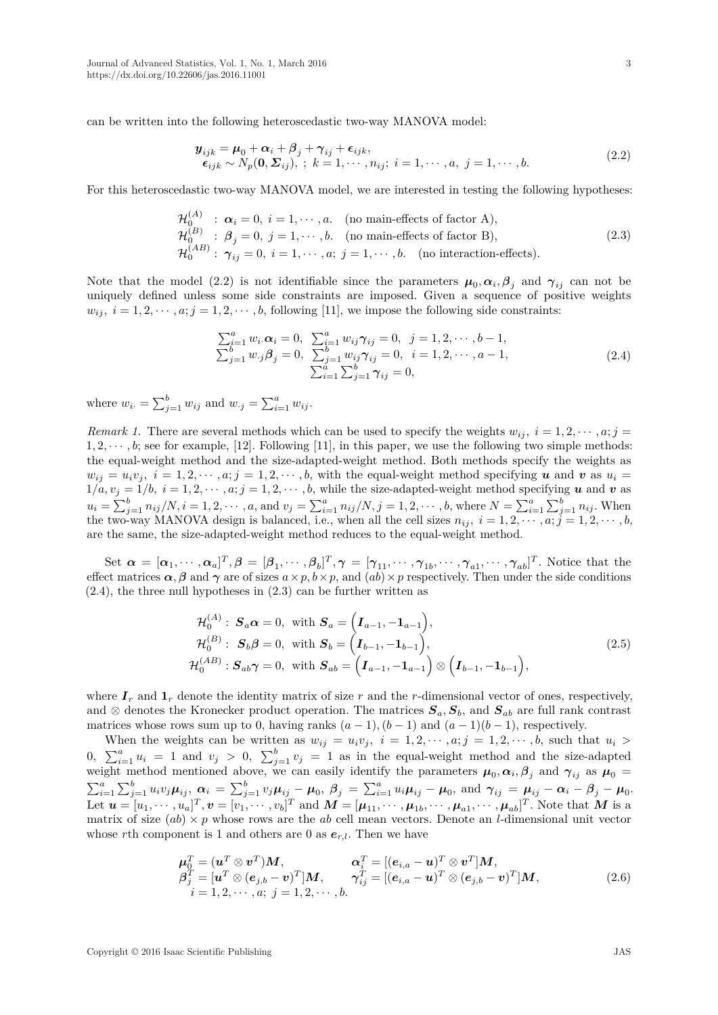can be written into the following heteroscedastic two-way MANOVA model:

$$
\begin{aligned} \mathbf{y}_{ijk} &= \boldsymbol{\mu}_0 + \boldsymbol{\alpha}_i + \boldsymbol{\beta}_j + \boldsymbol{\gamma}_{ij} + \boldsymbol{\epsilon}_{ijk}, \\ \boldsymbol{\epsilon}_{ijk} &\sim N_p(\mathbf{0}, \boldsymbol{\Sigma}_{ij}), \quad k = 1, \cdots, n_{ij}; \quad i = 1, \cdots, a, \quad j = 1, \cdots, b. \end{aligned} \tag{2.2}
$$

For this heteroscedastic two-way MANOVA model, we are interested in testing the following hypotheses:

$$
\mathcal{H}_0^{(A)} : \boldsymbol{\alpha}_i = 0, \ i = 1, \cdots, a. \quad \text{(no main-effects of factor A)},
$$
\n
$$
\mathcal{H}_0^{(B)} : \boldsymbol{\beta}_j = 0, \ j = 1, \cdots, b. \quad \text{(no main-effects of factor B)},
$$
\n
$$
\mathcal{H}_0^{(AB)} : \boldsymbol{\gamma}_{ij} = 0, \ i = 1, \cdots, a; \ j = 1, \cdots, b. \quad \text{(no interaction-effects)}.
$$
\n
$$
(2.3)
$$

Note that the model (2.2) is not identifiable since the parameters  $\mu_0, \alpha_i, \beta_j$  and  $\gamma_{ij}$  can not be uniquely defined unless some side constraints are imposed. Given a sequence of positive weights  $w_{ij}$ ,  $i = 1, 2, \dots, a; j = 1, 2, \dots, b$ , following [11], we impose the following side constraints:

$$
\sum_{i=1}^{a} w_i \alpha_i = 0, \quad \sum_{i=1}^{a} w_{ij} \gamma_{ij} = 0, \quad j = 1, 2, \dots, b - 1, \n\sum_{j=1}^{b} w_{\cdot j} \beta_j = 0, \quad \sum_{j=1}^{b} w_{ij} \gamma_{ij} = 0, \quad i = 1, 2, \dots, a - 1, \n\sum_{i=1}^{a} \sum_{j=1}^{b} \gamma_{ij} = 0,
$$
\n(2.4)

where  $w_i = \sum_{j=1}^b w_{ij}$  and  $w_{\cdot j} = \sum_{i=1}^a w_{ij}$ .

*Remark 1.* There are several methods which can be used to specify the weights  $w_{ii}$ ,  $i = 1, 2, \dots, a; j =$  $1, 2, \dots, b$ ; see for example, [12]. Following [11], in this paper, we use the following two simple methods: the equal-weight method and the size-adapted-weight method. Both methods specify the weights as  $w_{ij} = u_i v_j$ ,  $i = 1, 2, \dots, a; j = 1, 2, \dots, b$ , with the equal-weight method specifying **u** and **v** as  $u_i =$  $1/a, v_j = 1/b, i = 1, 2, \cdots, a; j = 1, 2, \cdots, b$ , while the size-adapted-weight method specifying *u* and *v* as  $u_i = \sum_{j=1}^b n_{ij}/N, i = 1, 2, \cdots, a$ , and  $v_j = \sum_{i=1}^a n_{ij}/N, j = 1, 2, \cdots, b$ , where  $N = \sum_{i=1}^a \sum_{j=1}^b n_{ij}$ . When the two-way MANOVA design is balanced, i.e., when all the cell sizes  $n_{ij}$ ,  $i = 1, 2, \dots, a; j = 1, 2, \dots, b$ , are the same, the size-adapted-weight method reduces to the equal-weight method.

Set  $\boldsymbol{\alpha} = [\alpha_1, \cdots, \alpha_a]^T$ ,  $\boldsymbol{\beta} = [\beta_1, \cdots, \beta_b]^T$ ,  $\boldsymbol{\gamma} = [\gamma_{11}, \cdots, \gamma_{1b}, \cdots, \gamma_{a1}, \cdots, \gamma_{ab}]^T$ . Notice that the effect matrices  $\alpha$ ,  $\beta$  and  $\gamma$  are of sizes  $a \times p$ ,  $b \times p$ , and  $(ab) \times p$  respectively. Then under the side conditions  $(2.4)$ , the three null hypotheses in  $(2.3)$  can be further written as

$$
\mathcal{H}_0^{(A)}: \mathbf{S}_a \alpha = 0, \text{ with } \mathbf{S}_a = \left(\mathbf{I}_{a-1}, -\mathbf{1}_{a-1}\right),
$$
  
\n
$$
\mathcal{H}_0^{(B)}: \mathbf{S}_b \beta = 0, \text{ with } \mathbf{S}_b = \left(\mathbf{I}_{b-1}, -\mathbf{1}_{b-1}\right),
$$
  
\n
$$
\mathcal{H}_0^{(AB)}: \mathbf{S}_{ab} \gamma = 0, \text{ with } \mathbf{S}_{ab} = \left(\mathbf{I}_{a-1}, -\mathbf{1}_{a-1}\right) \otimes \left(\mathbf{I}_{b-1}, -\mathbf{1}_{b-1}\right),
$$
\n(2.5)

where  $I_r$  and  $I_r$  denote the identity matrix of size r and the r-dimensional vector of ones, respectively, and ⊗ denotes the Kronecker product operation. The matrices  $S_a$ ,  $S_b$ , and  $S_{ab}$  are full rank contrast matrices whose rows sum up to 0, having ranks  $(a-1)$ ,  $(b-1)$  and  $(a-1)(b-1)$ , respectively.

When the weights can be written as  $w_{ij} = u_i v_j$ ,  $i = 1, 2, \dots, a; j = 1, 2, \dots, b$ , such that  $u_i >$ 0,  $\sum_{i=1}^{a} u_i = 1$  and  $v_j > 0$ ,  $\sum_{j=1}^{b} v_j = 1$  as in the equal-weight method and the size-adapted weight method mentioned above, we can easily identify the parameters  $\mu_0, \alpha_i, \beta_j$  and  $\gamma_{ij}$  as  $\mu_0 =$  $\sum_{i=1}^{a} \sum_{j=1}^{b} u_i v_j \mu_{ij}, \ \alpha_i = \sum_{j=1}^{b} v_j \mu_{ij} - \mu_0, \ \beta_j = \sum_{i=1}^{a} u_i \mu_{ij} - \mu_0, \text{ and } \gamma_{ij} = \mu_{ij} - \alpha_i - \beta_j - \mu_0.$ Let  $\boldsymbol{u} = [u_1, \cdots, u_a]^T$ ,  $\boldsymbol{v} = [v_1, \cdots, v_b]^T$  and  $\boldsymbol{M} = [\boldsymbol{\mu}_{11}, \cdots, \boldsymbol{\mu}_{1b}, \cdots, \boldsymbol{\mu}_{a1}, \cdots, \boldsymbol{\mu}_{ab}]^T$ . Note that  $\boldsymbol{M}$  is a matrix of size  $(ab) \times p$  whose rows are the *ab* cell mean vectors. Denote an *l*-dimensional unit vector whose *r*th component is 1 and others are 0 as  $e_{r,l}$ . Then we have

$$
\mu_0^T = (\mathbf{u}^T \otimes \mathbf{v}^T) \mathbf{M}, \qquad \mathbf{\alpha}_i^T = [(\mathbf{e}_{i,a} - \mathbf{u})^T \otimes \mathbf{v}^T] \mathbf{M}, \n\beta_j^T = [\mathbf{u}^T \otimes (\mathbf{e}_{j,b} - \mathbf{v})^T] \mathbf{M}, \qquad \gamma_{ij}^T = [(\mathbf{e}_{i,a} - \mathbf{u})^T \otimes (\mathbf{e}_{j,b} - \mathbf{v})^T] \mathbf{M}, \n i = 1, 2, \cdots, a; j = 1, 2, \cdots, b.
$$
\n(2.6)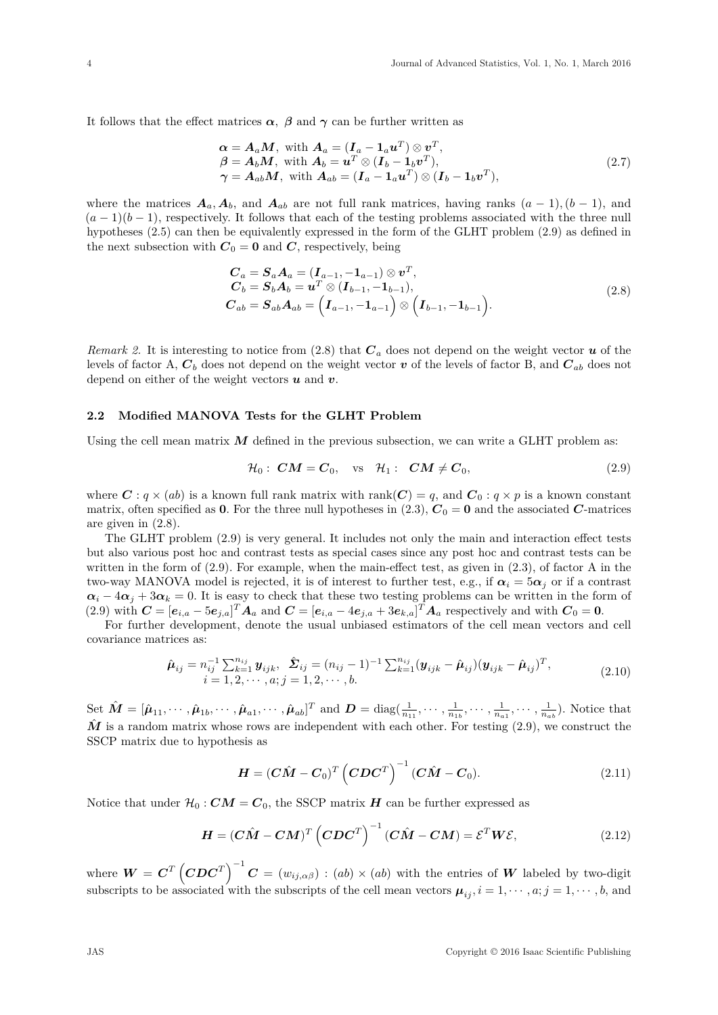It follows that the effect matrices  $\alpha$ ,  $\beta$  and  $\gamma$  can be further written as

$$
\alpha = A_a M, \text{ with } A_a = (I_a - 1_a u^T) \otimes v^T, \n\beta = A_b M, \text{ with } A_b = u^T \otimes (I_b - 1_b v^T), \n\gamma = A_{ab} M, \text{ with } A_{ab} = (I_a - 1_a u^T) \otimes (I_b - 1_b v^T),
$$
\n(2.7)

where the matrices  $A_a, A_b$ , and  $A_{ab}$  are not full rank matrices, having ranks  $(a-1), (b-1)$ , and  $(a-1)(b-1)$ , respectively. It follows that each of the testing problems associated with the three null hypotheses (2.5) can then be equivalently expressed in the form of the GLHT problem (2.9) as defined in the next subsection with  $C_0 = 0$  and *C*, respectively, being

$$
C_a = S_a A_a = (I_{a-1}, -1_{a-1}) \otimes v^T,
$$
  
\n
$$
C_b = S_b A_b = u^T \otimes (I_{b-1}, -1_{b-1}),
$$
  
\n
$$
C_{ab} = S_{ab} A_{ab} = (I_{a-1}, -1_{a-1}) \otimes (I_{b-1}, -1_{b-1}).
$$
\n(2.8)

*Remark 2.* It is interesting to notice from (2.8) that *C<sup>a</sup>* does not depend on the weight vector *u* of the levels of factor A,  $C_b$  does not depend on the weight vector  $v$  of the levels of factor B, and  $C_{ab}$  does not depend on either of the weight vectors *u* and *v*.

## **2.2 Modified MANOVA Tests for the GLHT Problem**

Using the cell mean matrix  $M$  defined in the previous subsection, we can write a GLHT problem as:

$$
\mathcal{H}_0: \mathbf{CM} = \mathbf{C}_0, \quad \text{vs} \quad \mathcal{H}_1: \quad \mathbf{CM} \neq \mathbf{C}_0,\tag{2.9}
$$

where  $C: q \times (ab)$  is a known full rank matrix with rank $(C) = q$ , and  $C_0: q \times p$  is a known constant matrix, often specified as **0**. For the three null hypotheses in (2.3),  $C_0 = 0$  and the associated *C*-matrices are given in (2.8).

The GLHT problem (2.9) is very general. It includes not only the main and interaction effect tests but also various post hoc and contrast tests as special cases since any post hoc and contrast tests can be written in the form of  $(2.9)$ . For example, when the main-effect test, as given in  $(2.3)$ , of factor A in the two-way MANOVA model is rejected, it is of interest to further test, e.g., if  $\alpha_i = 5\alpha_j$  or if a contrast  $\alpha_i - 4\alpha_j + 3\alpha_k = 0$ . It is easy to check that these two testing problems can be written in the form of (2.9) with  $\mathbf{C} = [\mathbf{e}_{i,a} - 5\mathbf{e}_{j,a}]^T \mathbf{A}_a$  and  $\mathbf{C} = [\mathbf{e}_{i,a} - 4\mathbf{e}_{j,a} + 3\mathbf{e}_{k,a}]^T \mathbf{A}_a$  respectively and with  $\mathbf{C}_0 = \mathbf{0}$ .

For further development, denote the usual unbiased estimators of the cell mean vectors and cell covariance matrices as:

$$
\hat{\boldsymbol{\mu}}_{ij} = n_{ij}^{-1} \sum_{k=1}^{n_{ij}} \boldsymbol{y}_{ijk}, \ \hat{\boldsymbol{\Sigma}}_{ij} = (n_{ij} - 1)^{-1} \sum_{k=1}^{n_{ij}} (\boldsymbol{y}_{ijk} - \hat{\boldsymbol{\mu}}_{ij}) (\boldsymbol{y}_{ijk} - \hat{\boldsymbol{\mu}}_{ij})^T, \n i = 1, 2, \cdots, a; j = 1, 2, \cdots, b.
$$
\n(2.10)

Set  $\hat{M} = [\hat{\boldsymbol{\mu}}_{11}, \cdots, \hat{\boldsymbol{\mu}}_{1b}, \cdots, \hat{\boldsymbol{\mu}}_{a1}, \cdots, \hat{\boldsymbol{\mu}}_{ab}]^T$  and  $\boldsymbol{D} = \text{diag}(\frac{1}{n_{11}}, \cdots, \frac{1}{n_{1b}}, \cdots, \frac{1}{n_{a1}}, \cdots, \frac{1}{n_{ab}})$ . Notice that  $\tilde{M}$  is a random matrix whose rows are independent with each other. For testing  $(2.9)$ , we construct the SSCP matrix due to hypothesis as

$$
\boldsymbol{H} = (\boldsymbol{C}\boldsymbol{\hat{M}} - \boldsymbol{C}_0)^T (\boldsymbol{C}\boldsymbol{D}\boldsymbol{C}^T)^{-1} (\boldsymbol{C}\boldsymbol{\hat{M}} - \boldsymbol{C}_0).
$$
 (2.11)

Notice that under  $\mathcal{H}_0$  :  $CM = C_0$ , the SSCP matrix *H* can be further expressed as

$$
\boldsymbol{H} = (\boldsymbol{C}\boldsymbol{\hat{M}} - \boldsymbol{C}\boldsymbol{M})^T (\boldsymbol{C}\boldsymbol{D}\boldsymbol{C}^T)^{-1} (\boldsymbol{C}\boldsymbol{\hat{M}} - \boldsymbol{C}\boldsymbol{M}) = \boldsymbol{\mathcal{E}}^T \boldsymbol{W} \boldsymbol{\mathcal{E}},
$$
\n(2.12)

where  $W = C^T \left(CDC^T\right)^{-1} C = (w_{ij,\alpha\beta}) : (ab) \times (ab)$  with the entries of *W* labeled by two-digit subscripts to be associated with the subscripts of the cell mean vectors  $\mu_{ij}$ ,  $i = 1, \dots, a; j = 1, \dots, b$ , and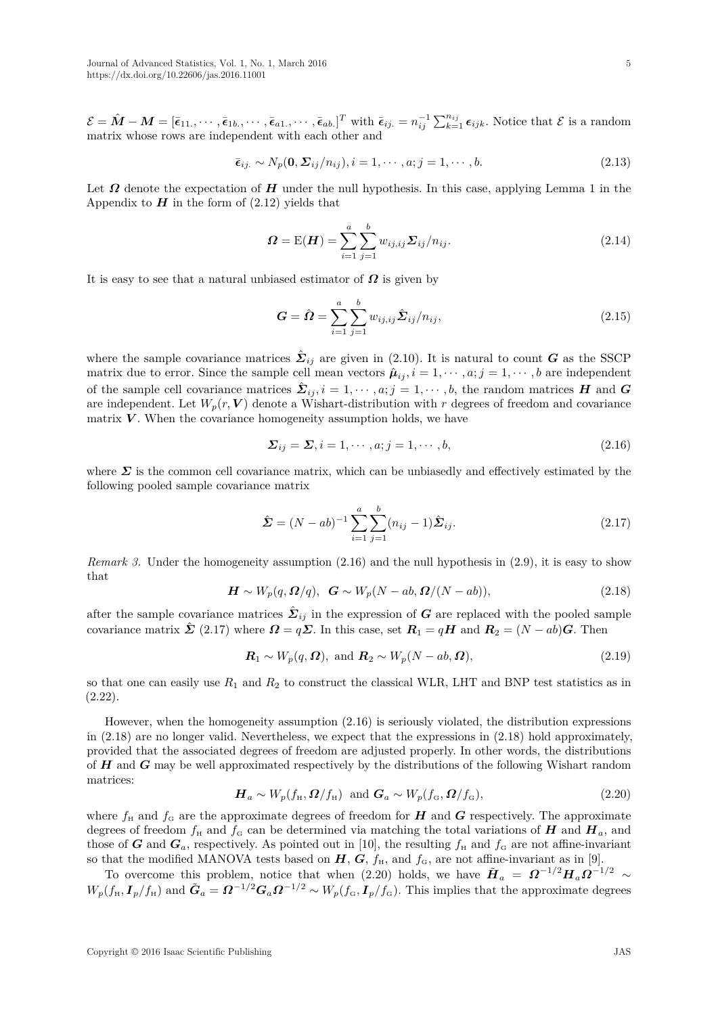$\mathcal{E} = \hat{\bm{M}} - \bm{M} = [\bar{\bm{\epsilon}}_{11}, \cdots, \bar{\bm{\epsilon}}_{1b}, \cdots, \bar{\bm{\epsilon}}_{a1}, \cdots, \bar{\bm{\epsilon}}_{ab}]^T$  with  $\bar{\bm{\epsilon}}_{ij} = n_{ij}^{-1} \sum_{k=1}^{n_{ij}} \bm{\epsilon}_{ijk}$ . Notice that  $\mathcal{E}$  is a random matrix whose rows are independent with each other and

$$
\bar{\epsilon}_{ij.} \sim N_p(\mathbf{0}, \Sigma_{ij}/n_{ij}), i = 1, \cdots, a; j = 1, \cdots, b.
$$
\n(2.13)

Let *Ω* denote the expectation of *H* under the null hypothesis. In this case, applying Lemma 1 in the Appendix to  $H$  in the form of  $(2.12)$  yields that

$$
\Omega = \mathcal{E}(\boldsymbol{H}) = \sum_{i=1}^{a} \sum_{j=1}^{b} w_{ij,ij} \Sigma_{ij} / n_{ij}.
$$
 (2.14)

It is easy to see that a natural unbiased estimator of *Ω* is given by

$$
G = \hat{\Omega} = \sum_{i=1}^{a} \sum_{j=1}^{b} w_{ij,ij} \hat{\Sigma}_{ij} / n_{ij},
$$
\n(2.15)

where the sample covariance matrices  $\hat{\mathbf{\Sigma}}_{ij}$  are given in (2.10). It is natural to count *G* as the SSCP matrix due to error. Since the sample cell mean vectors  $\hat{\mu}_{ij}$ ,  $i = 1, \dots, a; j = 1, \dots, b$  are independent of the sample cell covariance matrices  $\hat{\mathbf{\Sigma}}_{ij}, i = 1, \cdots, a; j = 1, \cdots, b$ , the random matrices *H* and *G* are independent. Let  $W_p(r, V)$  denote a Wishart-distribution with r degrees of freedom and covariance matrix  $V$ . When the covariance homogeneity assumption holds, we have

$$
\Sigma_{ij} = \Sigma, i = 1, \cdots, a; j = 1, \cdots, b,
$$
\n
$$
(2.16)
$$

where  $\Sigma$  is the common cell covariance matrix, which can be unbiasedly and effectively estimated by the following pooled sample covariance matrix

$$
\hat{\Sigma} = (N - ab)^{-1} \sum_{i=1}^{a} \sum_{j=1}^{b} (n_{ij} - 1) \hat{\Sigma}_{ij}.
$$
\n(2.17)

*Remark 3.* Under the homogeneity assumption  $(2.16)$  and the null hypothesis in  $(2.9)$ , it is easy to show that

$$
\mathbf{H} \sim W_p(q, \mathbf{\Omega}/q), \ \mathbf{G} \sim W_p(N - ab, \mathbf{\Omega}/(N - ab)), \tag{2.18}
$$

after the sample covariance matrices  $\hat{\Sigma}_{ij}$  in the expression of *G* are replaced with the pooled sample covariance matrix  $\hat{\Sigma}$  (2.17) where  $\Omega = q\Sigma$ . In this case, set  $R_1 = qH$  and  $R_2 = (N - ab)G$ . Then

$$
\mathbf{R}_1 \sim W_p(q, \Omega), \text{ and } \mathbf{R}_2 \sim W_p(N - ab, \Omega), \tag{2.19}
$$

so that one can easily use  $R_1$  and  $R_2$  to construct the classical WLR, LHT and BNP test statistics as in (2.22).

However, when the homogeneity assumption (2.16) is seriously violated, the distribution expressions in (2.18) are no longer valid. Nevertheless, we expect that the expressions in (2.18) hold approximately, provided that the associated degrees of freedom are adjusted properly. In other words, the distributions of *H* and *G* may be well approximated respectively by the distributions of the following Wishart random matrices:

$$
\boldsymbol{H}_a \sim W_p(f_{\rm H}, \boldsymbol{\Omega}/f_{\rm H}) \text{ and } \boldsymbol{G}_a \sim W_p(f_{\rm G}, \boldsymbol{\Omega}/f_{\rm G}), \qquad (2.20)
$$

where  $f_{\rm H}$  and  $f_{\rm G}$  are the approximate degrees of freedom for *H* and *G* respectively. The approximate degrees of freedom  $f_H$  and  $f_G$  can be determined via matching the total variations of *H* and  $H_a$ , and those of *G* and  $G_a$ , respectively. As pointed out in [10], the resulting  $f_H$  and  $f_G$  are not affine-invariant so that the modified MANOVA tests based on  $H, G, f_H$ , and  $f_G$ , are not affine-invariant as in [9].

To overcome this problem, notice that when (2.20) holds, we have  $\tilde{H}_a = \Omega^{-1/2} H_a \Omega^{-1/2} \sim$  $W_p(f_H, I_p/f_H)$  and  $\tilde{G}_a = \Omega^{-1/2} G_a \Omega^{-1/2} \sim W_p(f_G, I_p/f_G)$ . This implies that the approximate degrees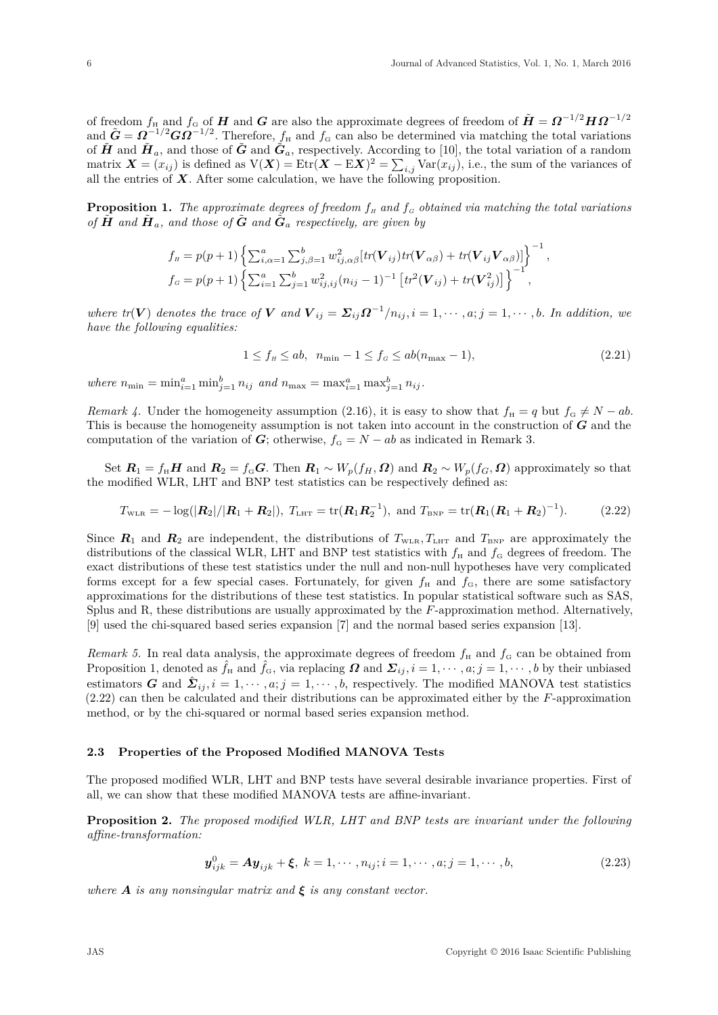of freedom  $f_H$  and  $f_G$  of  $H$  and  $G$  are also the approximate degrees of freedom of  $\tilde{H} = \Omega^{-1/2} H \Omega^{-1/2}$ and  $\tilde{G} = \Omega^{-1/2} G \Omega^{-1/2}$ . Therefore,  $f_H$  and  $f_G$  can also be determined via matching the total variations of  $\tilde{H}$  and  $\tilde{H}_a$ , and those of  $\tilde{G}$  and  $\tilde{G}_a$ , respectively. According to [10], the total variation of a random matrix  $\mathbf{X} = (x_{ij})$  is defined as  $V(\mathbf{X}) = \text{Etr}(\mathbf{X} - \text{E}\mathbf{X})^2 = \sum_{i,j} \text{Var}(x_{ij})$ , i.e., the sum of the variances of all the entries of  $X$ . After some calculation, we have the following proposition.

**Proposition 1.** The approximate degrees of freedom  $f_H$  and  $f_G$  obtained via matching the total variations *of*  $\tilde{H}$  and  $\tilde{H}_a$ , and those of  $\tilde{G}$  and  $\tilde{G}_a$  respectively, are given by

$$
f_{\scriptscriptstyle H} = p(p+1) \left\{ \sum_{i,\alpha=1}^a \sum_{j,\beta=1}^b w_{ij,\alpha\beta}^2 \left[ tr(\boldsymbol{V}_{ij}) tr(\boldsymbol{V}_{\alpha\beta}) + tr(\boldsymbol{V}_{ij} \boldsymbol{V}_{\alpha\beta}) \right] \right\}^{-1},
$$
  

$$
f_{\scriptscriptstyle G} = p(p+1) \left\{ \sum_{i=1}^a \sum_{j=1}^b w_{ij,ij}^2 (n_{ij} - 1)^{-1} \left[ tr^2(\boldsymbol{V}_{ij}) + tr(\boldsymbol{V}_{ij}^2) \right] \right\}^{-1},
$$

where  $tr(V)$  denotes the trace of V and  $V_{ij} = \sum_{ij} \Omega^{-1}/n_{ij}$ ,  $i = 1, \dots, a; j = 1, \dots, b$ . In addition, we *have the following equalities:*

$$
1 \le f_H \le ab, \ \ n_{\min} - 1 \le f_G \le ab(n_{\max} - 1), \tag{2.21}
$$

*where*  $n_{\min} = \min_{i=1}^{a} \min_{j=1}^{b} n_{ij}$  and  $n_{\max} = \max_{i=1}^{a} \max_{j=1}^{b} n_{ij}$ .

*Remark 4.* Under the homogeneity assumption (2.16), it is easy to show that  $f_H = q$  but  $f_G \neq N - ab$ . This is because the homogeneity assumption is not taken into account in the construction of *G* and the computation of the variation of *G*; otherwise,  $f_G = N - ab$  as indicated in Remark 3.

Set  $R_1 = f_H H$  and  $R_2 = f_G G$ . Then  $R_1 \sim W_p(f_H, \Omega)$  and  $R_2 \sim W_p(f_G, \Omega)$  approximately so that the modified WLR, LHT and BNP test statistics can be respectively defined as:

$$
T_{\text{WLR}} = -\log(|\mathbf{R}_2|/|\mathbf{R}_1 + \mathbf{R}_2|), \ T_{\text{LHT}} = \text{tr}(\mathbf{R}_1 \mathbf{R}_2^{-1}), \text{ and } T_{\text{BNP}} = \text{tr}(\mathbf{R}_1 (\mathbf{R}_1 + \mathbf{R}_2)^{-1}). \tag{2.22}
$$

Since  $R_1$  and  $R_2$  are independent, the distributions of  $T_{\text{WLR}}$ ,  $T_{\text{LHT}}$  and  $T_{\text{BNP}}$  are approximately the distributions of the classical WLR, LHT and BNP test statistics with  $f_H$  and  $f_G$  degrees of freedom. The exact distributions of these test statistics under the null and non-null hypotheses have very complicated forms except for a few special cases. Fortunately, for given  $f_H$  and  $f_G$ , there are some satisfactory approximations for the distributions of these test statistics. In popular statistical software such as SAS, Splus and R, these distributions are usually approximated by the *F*-approximation method. Alternatively, [9] used the chi-squared based series expansion [7] and the normal based series expansion [13].

*Remark 5.* In real data analysis, the approximate degrees of freedom  $f_H$  and  $f_G$  can be obtained from Proposition 1, denoted as  $\hat{f}_H$  and  $\hat{f}_G$ , via replacing  $\Omega$  and  $\Sigma_{ij}$ ,  $i = 1, \dots, a; j = 1, \dots, b$  by their unbiased estimators *G* and  $\hat{\mathbf{\Sigma}}_{ij}$ ,  $i = 1, \cdots, a; j = 1, \cdots, b$ , respectively. The modified MANOVA test statistics (2.22) can then be calculated and their distributions can be approximated either by the *F*-approximation method, or by the chi-squared or normal based series expansion method.

#### **2.3 Properties of the Proposed Modified MANOVA Tests**

The proposed modified WLR, LHT and BNP tests have several desirable invariance properties. First of all, we can show that these modified MANOVA tests are affine-invariant.

**Proposition 2.** *The proposed modified WLR, LHT and BNP tests are invariant under the following affine-transformation:*

$$
\mathbf{y}_{ijk}^0 = \mathbf{A}\mathbf{y}_{ijk} + \xi, \ k = 1, \cdots, n_{ij}; i = 1, \cdots, a; j = 1, \cdots, b,
$$
\n(2.23)

*where*  $\bf{A}$  *is any nonsingular matrix and*  $\bf{\xi}$  *is any constant vector.*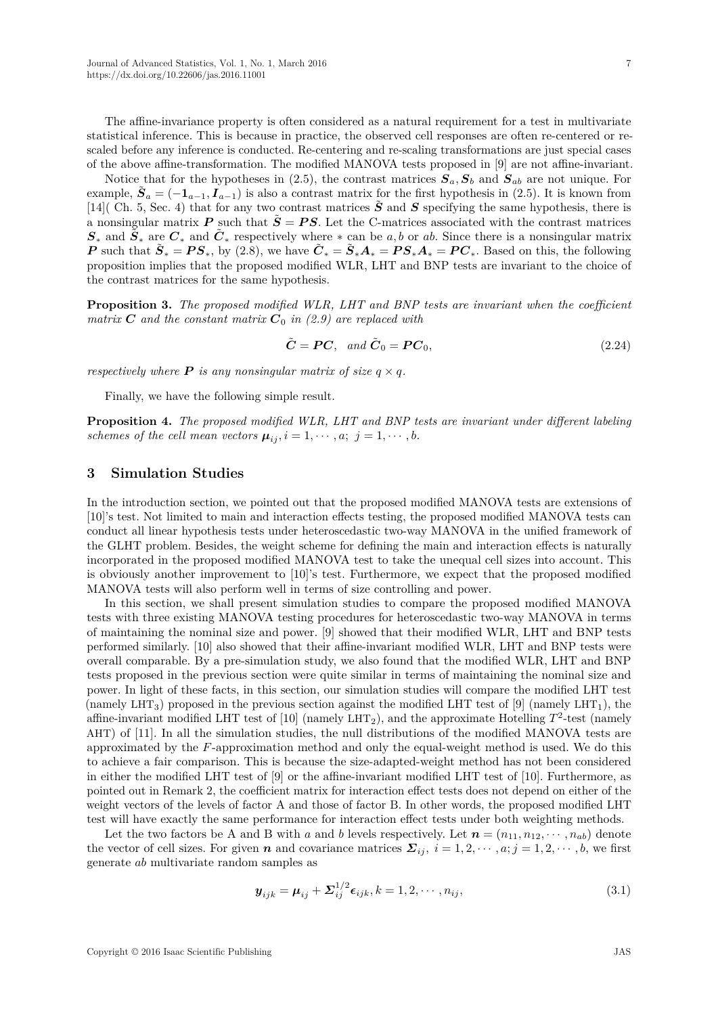7

The affine-invariance property is often considered as a natural requirement for a test in multivariate statistical inference. This is because in practice, the observed cell responses are often re-centered or rescaled before any inference is conducted. Re-centering and re-scaling transformations are just special cases of the above affine-transformation. The modified MANOVA tests proposed in [9] are not affine-invariant.

Notice that for the hypotheses in (2.5), the contrast matrices  $S_a$ ,  $S_b$  and  $S_{ab}$  are not unique. For example,  $\tilde{S}_a = (-1_{a-1}, I_{a-1})$  is also a contrast matrix for the first hypothesis in (2.5). It is known from [14]( Ch. 5, Sec. 4) that for any two contrast matrices  $\tilde{S}$  and *S* specifying the same hypothesis, there is a nonsingular matrix  $P$  such that  $\tilde{S} = PS$ . Let the C-matrices associated with the contrast matrices  $S_*$  and  $\tilde{S}_*$  are  $C_*$  and  $\tilde{C}_*$  respectively where  $*$  can be *a, b* or *ab*. Since there is a nonsingular matrix *P* such that  $\tilde{S}_* = PS_*$ , by (2.8), we have  $\tilde{C}_* = \tilde{S}_*A_* = PS_*A_* = PC_*$ . Based on this, the following proposition implies that the proposed modified WLR, LHT and BNP tests are invariant to the choice of the contrast matrices for the same hypothesis.

**Proposition 3.** *The proposed modified WLR, LHT and BNP tests are invariant when the coefficient matrix*  $C$  *and the constant matrix*  $C_0$  *in (2.9)* are replaced with

$$
\tilde{C} = PC, \quad and \quad \tilde{C}_0 = PC_0,\tag{2.24}
$$

*respectively where*  $P$  *is any nonsingular matrix of size*  $q \times q$ *.* 

Finally, we have the following simple result.

**Proposition 4.** *The proposed modified WLR, LHT and BNP tests are invariant under different labeling schemes of the cell mean vectors*  $\mu_{ij}$ ,  $i = 1, \dots, a; j = 1, \dots, b$ .

## **3 Simulation Studies**

In the introduction section, we pointed out that the proposed modified MANOVA tests are extensions of [10]'s test. Not limited to main and interaction effects testing, the proposed modified MANOVA tests can conduct all linear hypothesis tests under heteroscedastic two-way MANOVA in the unified framework of the GLHT problem. Besides, the weight scheme for defining the main and interaction effects is naturally incorporated in the proposed modified MANOVA test to take the unequal cell sizes into account. This is obviously another improvement to [10]'s test. Furthermore, we expect that the proposed modified MANOVA tests will also perform well in terms of size controlling and power.

In this section, we shall present simulation studies to compare the proposed modified MANOVA tests with three existing MANOVA testing procedures for heteroscedastic two-way MANOVA in terms of maintaining the nominal size and power. [9] showed that their modified WLR, LHT and BNP tests performed similarly. [10] also showed that their affine-invariant modified WLR, LHT and BNP tests were overall comparable. By a pre-simulation study, we also found that the modified WLR, LHT and BNP tests proposed in the previous section were quite similar in terms of maintaining the nominal size and power. In light of these facts, in this section, our simulation studies will compare the modified LHT test (namely  $LHT_3$ ) proposed in the previous section against the modified LHT test of [9] (namely  $LHT_1$ ), the affine-invariant modified LHT test of  $[10]$  (namely LHT<sub>2</sub>), and the approximate Hotelling  $T^2$ -test (namely AHT) of [11]. In all the simulation studies, the null distributions of the modified MANOVA tests are approximated by the *F*-approximation method and only the equal-weight method is used. We do this to achieve a fair comparison. This is because the size-adapted-weight method has not been considered in either the modified LHT test of [9] or the affine-invariant modified LHT test of [10]. Furthermore, as pointed out in Remark 2, the coefficient matrix for interaction effect tests does not depend on either of the weight vectors of the levels of factor A and those of factor B. In other words, the proposed modified LHT test will have exactly the same performance for interaction effect tests under both weighting methods.

Let the two factors be A and B with *a* and *b* levels respectively. Let  $\mathbf{n} = (n_{11}, n_{12}, \dots, n_{ab})$  denote the vector of cell sizes. For given *n* and covariance matrices  $\Sigma_{ij}$ ,  $i = 1, 2, \dots, a; j = 1, 2, \dots, b$ , we first generate *ab* multivariate random samples as

$$
\mathbf{y}_{ijk} = \mathbf{\mu}_{ij} + \mathbf{\Sigma}_{ij}^{1/2} \boldsymbol{\epsilon}_{ijk}, k = 1, 2, \cdots, n_{ij},
$$
\n(3.1)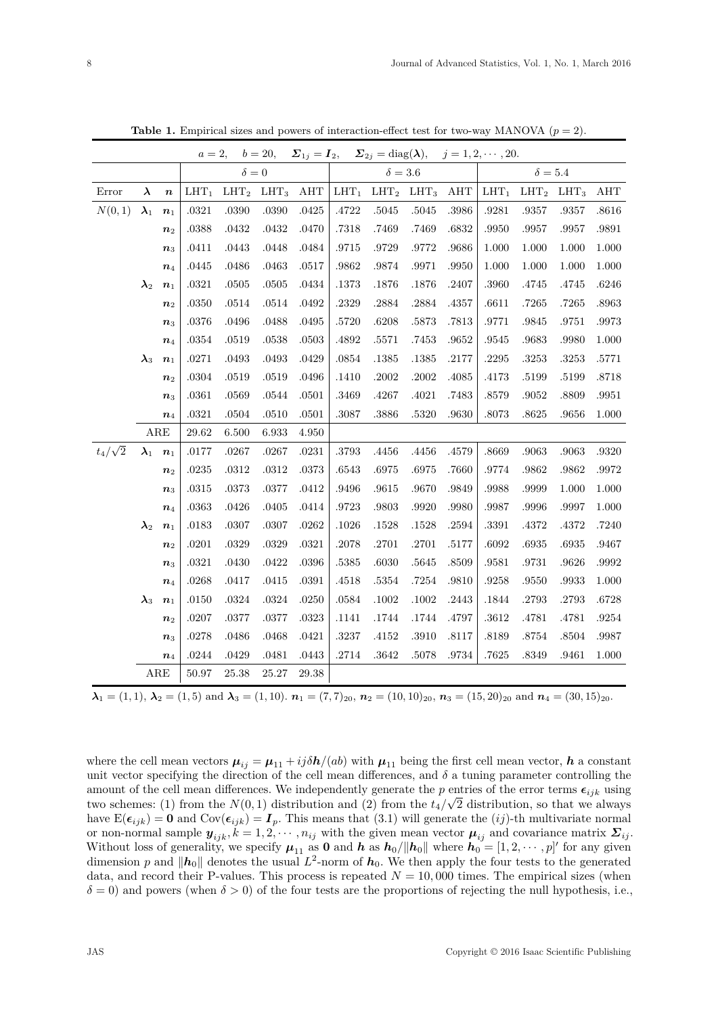|                |                          |                    | $a=2,$                               |              | $b = 20,$ | $\Sigma_{1j}=I_2,$ |           | $\Sigma_{2j} = \text{diag}(\lambda),$ |           |       | $j = 1, 2, \cdots, 20.$ |                  |           |           |  |  |
|----------------|--------------------------|--------------------|--------------------------------------|--------------|-----------|--------------------|-----------|---------------------------------------|-----------|-------|-------------------------|------------------|-----------|-----------|--|--|
|                |                          |                    |                                      | $\delta = 0$ |           |                    |           | $\delta = 3.6$                        |           |       | $\delta = 5.4$          |                  |           |           |  |  |
| Error          | $\lambda$                | $\pmb{n}$          | $LHT_2$<br>$LHT_3$<br>AHT<br>$LHT_1$ |              |           |                    | $LHT_1$   | LHT <sub>2</sub>                      | $LHT_3$   | AHT   | $LHT_1$                 | LHT <sub>2</sub> | $LHT_3$   | AHT       |  |  |
| N(0, 1)        | $\boldsymbol{\lambda}_1$ | $n_1$              | .0321                                | .0390        | .0390     | .0425              | .4722     | .5045                                 | $.5045\,$ | .3986 | .9281                   | .9357            | .9357     | .8616     |  |  |
|                |                          | n <sub>2</sub>     | .0388                                | .0432        | .0432     | .0470              | .7318     | .7469                                 | .7469     | .6832 | .9950                   | .9957            | .9957     | .9891     |  |  |
|                |                          | $\boldsymbol{n}_3$ | .0411                                | .0443        | .0448     | .0484              | .9715     | .9729                                 | .9772     | .9686 | 1.000                   | 1.000            | 1.000     | 1.000     |  |  |
|                |                          | $n_4$              | .0445                                | .0486        | .0463     | .0517              | .9862     | .9874                                 | .9971     | .9950 | 1.000                   | 1.000            | 1.000     | 1.000     |  |  |
|                | $\boldsymbol{\lambda}_2$ | $\boldsymbol{n}_1$ | .0321                                | .0505        | .0505     | .0434              | .1373     | .1876                                 | .1876     | .2407 | .3960                   | .4745            | .4745     | .6246     |  |  |
|                |                          | $n_{2}$            | .0350                                | .0514        | .0514     | .0492              | .2329     | .2884                                 | .2884     | .4357 | .6611                   | .7265            | .7265     | .8963     |  |  |
|                |                          | $n_3$              | .0376                                | $.0496\,$    | .0488     | .0495              | .5720     | .6208                                 | $.5873\,$ | .7813 | .9771                   | .9845            | .9751     | $.9973\,$ |  |  |
|                |                          | $n_4$              | .0354                                | .0519        | .0538     | .0503              | .4892     | .5571                                 | .7453     | .9652 | .9545                   | .9683            | .9980     | 1.000     |  |  |
|                | $\boldsymbol{\lambda}_3$ | $\boldsymbol{n}_1$ | .0271                                | .0493        | .0493     | .0429              | $.0854\,$ | .1385                                 | .1385     | .2177 | .2295                   | .3253            | .3253     | .5771     |  |  |
|                |                          | $\boldsymbol{n}_2$ | .0304                                | .0519        | .0519     | .0496              | .1410     | .2002                                 | .2002     | .4085 | .4173                   | .5199            | .5199     | .8718     |  |  |
|                |                          | $n_3$              | .0361                                | .0569        | .0544     | .0501              | .3469     | .4267                                 | .4021     | .7483 | .8579                   | .9052            | .8809     | .9951     |  |  |
|                |                          | $\boldsymbol{n}_4$ | .0321                                | $.0504\,$    | .0510     | .0501              | .3087     | .3886                                 | $.5320\,$ | .9630 | .8073                   | .8625            | .9656     | $1.000\,$ |  |  |
|                |                          | $_{\rm ARE}$       | 29.62                                | 6.500        | 6.933     | 4.950              |           |                                       |           |       |                         |                  |           |           |  |  |
| $t_4/\sqrt{2}$ | $\lambda_1$              | $n_1$              | .0177                                | .0267        | .0267     | .0231              | .3793     | .4456                                 | .4456     | .4579 | .8669                   | .9063            | $.9063\,$ | .9320     |  |  |
|                |                          | $n_{2}$            | .0235                                | $.0312\,$    | .0312     | .0373              | .6543     | .6975                                 | .6975     | .7660 | .9774                   | .9862            | .9862     | .9972     |  |  |
|                |                          | $\boldsymbol{n}_3$ | .0315                                | .0373        | .0377     | .0412              | .9496     | .9615                                 | .9670     | .9849 | .9988                   | .9999            | 1.000     | 1.000     |  |  |
|                |                          | $\boldsymbol{n}_4$ | .0363                                | $.0426\,$    | .0405     | .0414              | .9723     | .9803                                 | .9920     | .9980 | .9987                   | .9996            | .9997     | 1.000     |  |  |
|                | $\boldsymbol{\lambda}_2$ | $\boldsymbol{n}_1$ | .0183                                | .0307        | .0307     | .0262              | .1026     | .1528                                 | .1528     | .2594 | .3391                   | .4372            | .4372     | .7240     |  |  |
|                |                          | $n_2$              | .0201                                | $.0329\,$    | .0329     | .0321              | $.2078\,$ | .2701                                 | .2701     | .5177 | .6092                   | .6935            | .6935     | .9467     |  |  |
|                |                          | $n_3$              | .0321                                | .0430        | .0422     | .0396              | .5385     | .6030                                 | .5645     | .8509 | .9581                   | .9731            | .9626     | $.9992\,$ |  |  |
|                |                          | $\boldsymbol{n}_4$ | .0268                                | .0417        | .0415     | .0391              | .4518     | .5354                                 | .7254     | .9810 | .9258                   | .9550            | .9933     | 1.000     |  |  |
|                | $\boldsymbol{\lambda}_3$ | $\boldsymbol{n}_1$ | .0150                                | $.0324\,$    | .0324     | .0250              | $.0584\,$ | .1002                                 | .1002     | .2443 | .1844                   | .2793            | .2793     | .6728     |  |  |
|                |                          | $n_{2}$            | .0207                                | .0377        | .0377     | .0323              | .1141     | .1744                                 | .1744     | .4797 | .3612                   | .4781            | .4781     | .9254     |  |  |
|                |                          | $n_3$              | .0278                                | $.0486\,$    | .0468     | .0421              | $.3237\,$ | .4152                                 | .3910     | .8117 | .8189                   | $.8754\,$        | .8504     | .9987     |  |  |
|                |                          | $\boldsymbol{n}_4$ | .0244                                | .0429        | .0481     | .0443              | .2714     | .3642                                 | .5078     | .9734 | .7625                   | .8349            | .9461     | 1.000     |  |  |
|                |                          | ARE                | 50.97                                | 25.38        | 25.27     | 29.38              |           |                                       |           |       |                         |                  |           |           |  |  |

**Table 1.** Empirical sizes and powers of interaction-effect test for two-way MANOVA  $(p = 2)$ .

 $\lambda_1 = (1, 1), \lambda_2 = (1, 5)$  and  $\lambda_3 = (1, 10)$ .  $n_1 = (7, 7)_{20}$ ,  $n_2 = (10, 10)_{20}$ ,  $n_3 = (15, 20)_{20}$  and  $n_4 = (30, 15)_{20}$ .

where the cell mean vectors  $\mu_{ij} = \mu_{11} + i j \delta h/(ab)$  with  $\mu_{11}$  being the first cell mean vector, *h* a constant unit vector specifying the direction of the cell mean differences, and  $\delta$  a tuning parameter controlling the amount of the cell mean differences. We independently generate the *p* entries of the error terms  $\epsilon_{ijk}$  using two schemes: (1) from the  $N(0, 1)$  distribution and (2) from the  $t_4/\sqrt{2}$  distribution, so that we always have  $E(\epsilon_{ijk}) = \mathbf{0}$  and  $Cov(\epsilon_{ijk}) = \mathbf{I}_p$ . This means that (3.1) will generate the (*ij*)-th multivariate normal or non-normal sample  $y_{ijk}$ ,  $k = 1, 2, \dots, n_{ij}$  with the given mean vector  $\mu_{ij}$  and covariance matrix  $\Sigma_{ij}$ . Without loss of generality, we specify  $\mu_{11}$  as **0** and **h** as  $h_0/||h_0||$  where  $h_0 = [1, 2, \dots, p]'$  for any given dimension p and  $||h_0||$  denotes the usual  $L^2$ -norm of  $h_0$ . We then apply the four tests to the generated data, and record their P-values. This process is repeated  $N = 10,000$  times. The empirical sizes (when  $\delta = 0$ ) and powers (when  $\delta > 0$ ) of the four tests are the proportions of rejecting the null hypothesis, i.e.,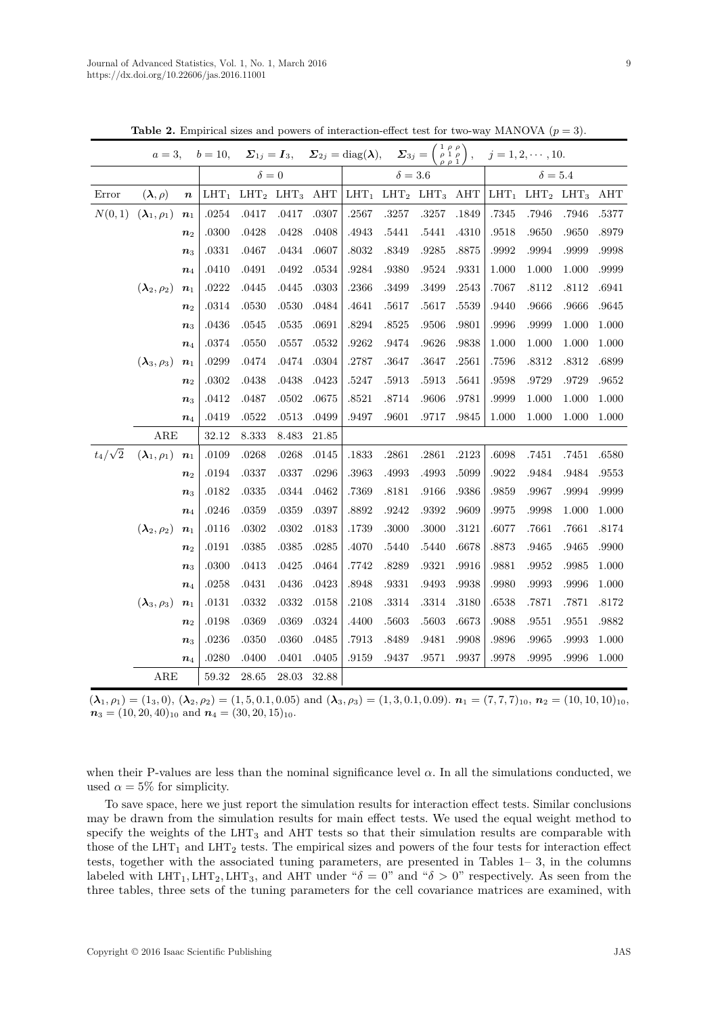|                | $a=3,$                            |                    |         |              |           |                | $b = 10,$ $\Sigma_{1j} = I_3,$ $\Sigma_{2j} = \text{diag}(\lambda),$ $\Sigma_{3j} = \begin{pmatrix} 1 & \rho & \rho \\ \rho & 1 & \rho \\ \rho & \rho & 1 \end{pmatrix},$ |                 |           |       |                | $j = 1, 2, \cdots, 10.$ |       |       |
|----------------|-----------------------------------|--------------------|---------|--------------|-----------|----------------|---------------------------------------------------------------------------------------------------------------------------------------------------------------------------|-----------------|-----------|-------|----------------|-------------------------|-------|-------|
|                |                                   |                    |         | $\delta = 0$ |           |                |                                                                                                                                                                           | $\delta = 3.6$  |           |       | $\delta = 5.4$ |                         |       |       |
| Error          | $(\boldsymbol{\lambda}, \rho)$    | $\boldsymbol{n}$   | $LHT_1$ | $LHT_2$      | $LHT_3$   | $\mathbf{AHT}$ | $LHT_1$                                                                                                                                                                   | $LHT_2$ $LHT_3$ |           | AHT   | $LHT_1$        | $LHT_2$ $LHT_3$         |       | AHT   |
| N(0,1)         | $(\boldsymbol{\lambda}_1,\rho_1)$ | $n_1$              | .0254   | .0417        | .0417     | .0307          | .2567                                                                                                                                                                     | .3257           | $.3257\,$ | .1849 | $.7345\,$      | .7946                   | .7946 | .5377 |
|                |                                   | n <sub>2</sub>     | .0300   | .0428        | .0428     | .0408          | .4943                                                                                                                                                                     | .5441           | .5441     | .4310 | .9518          | .9650                   | .9650 | .8979 |
|                |                                   | $\boldsymbol{n}_3$ | .0331   | .0467        | .0434     | .0607          | .8032                                                                                                                                                                     | .8349           | .9285     | .8875 | .9992          | .9994                   | .9999 | .9998 |
|                |                                   | $\boldsymbol{n}_4$ | .0410   | .0491        | $.0492\,$ | .0534          | .9284                                                                                                                                                                     | .9380           | $.9524\,$ | .9331 | 1.000          | 1.000                   | 1.000 | .9999 |
|                | $(\boldsymbol{\lambda}_2,\rho_2)$ | $n_1$              | .0222   | .0445        | $.0445\,$ | .0303          | .2366                                                                                                                                                                     | .3499           | .3499     | .2543 | .7067          | .8112                   | .8112 | .6941 |
|                |                                   | n <sub>2</sub>     | .0314   | .0530        | .0530     | .0484          | .4641                                                                                                                                                                     | .5617           | .5617     | .5539 | .9440          | .9666                   | .9666 | .9645 |
|                |                                   | $n_{3}$            | .0436   | .0545        | $.0535\,$ | .0691          | .8294                                                                                                                                                                     | .8525           | $.9506\,$ | .9801 | .9996          | .9999                   | 1.000 | 1.000 |
|                |                                   | $\boldsymbol{n}_4$ | .0374   | .0550        | $.0557\,$ | .0532          | .9262                                                                                                                                                                     | .9474           | .9626     | .9838 | 1.000          | 1.000                   | 1.000 | 1.000 |
|                | $(\boldsymbol{\lambda}_3,\rho_3)$ | $n_1$              | .0299   | .0474        | $.0474\,$ | .0304          | .2787                                                                                                                                                                     | .3647           | .3647     | .2561 | .7596          | .8312                   | .8312 | .6899 |
|                |                                   | n <sub>2</sub>     | .0302   | .0438        | .0438     | .0423          | $.5247\,$                                                                                                                                                                 | .5913           | .5913     | .5641 | .9598          | .9729                   | .9729 | .9652 |
|                |                                   | $n_3$              | .0412   | .0487        | .0502     | .0675          | .8521                                                                                                                                                                     | .8714           | .9606     | .9781 | .9999          | 1.000                   | 1.000 | 1.000 |
|                |                                   | $\boldsymbol{n}_4$ | .0419   | .0522        | .0513     | .0499          | .9497                                                                                                                                                                     | .9601           | .9717     | .9845 | 1.000          | 1.000                   | 1.000 | 1.000 |
|                | ARE                               |                    | 32.12   | 8.333        | 8.483     | 21.85          |                                                                                                                                                                           |                 |           |       |                |                         |       |       |
| $t_4/\sqrt{2}$ | $(\boldsymbol{\lambda}_1,\rho_1)$ | $\boldsymbol{n}_1$ | .0109   | .0268        | $.0268\,$ | .0145          | .1833                                                                                                                                                                     | .2861           | .2861     | .2123 | .6098          | .7451                   | .7451 | .6580 |
|                |                                   | n <sub>2</sub>     | .0194   | .0337        | $.0337\,$ | $.0296\,$      | .3963                                                                                                                                                                     | .4993           | .4993     | .5099 | .9022          | .9484                   | .9484 | .9553 |
|                |                                   | $\boldsymbol{n}_3$ | .0182   | $.0335\,$    | $.0344\,$ | .0462          | .7369                                                                                                                                                                     | .8181           | .9166     | .9386 | .9859          | .9967                   | .9994 | .9999 |
|                |                                   | $\boldsymbol{n}_4$ | .0246   | .0359        | .0359     | .0397          | .8892                                                                                                                                                                     | .9242           | .9392     | .9609 | .9975          | .9998                   | 1.000 | 1.000 |
|                | $(\boldsymbol{\lambda}_2,\rho_2)$ | $n_1$              | .0116   | .0302        | .0302     | .0183          | .1739                                                                                                                                                                     | .3000           | .3000     | .3121 | .6077          | .7661                   | .7661 | .8174 |
|                |                                   | $n_2$              | .0191   | .0385        | $.0385\,$ | .0285          | .4070                                                                                                                                                                     | .5440           | .5440     | .6678 | $.8873\,$      | .9465                   | .9465 | .9900 |
|                |                                   | $n_3$              | .0300   | .0413        | $.0425\,$ | .0464          | .7742                                                                                                                                                                     | .8289           | .9321     | .9916 | .9881          | .9952                   | .9985 | 1.000 |
|                |                                   | $\boldsymbol{n}_4$ | .0258   | .0431        | $.0436\,$ | .0423          | .8948                                                                                                                                                                     | .9331           | .9493     | .9938 | .9980          | .9993                   | .9996 | 1.000 |
|                | $(\boldsymbol{\lambda}_3,\rho_3)$ | $n_1$              | .0131   | .0332        | $.0332\,$ | .0158          | .2108                                                                                                                                                                     | .3314           | $.3314\,$ | .3180 | .6538          | .7871                   | .7871 | .8172 |
|                |                                   | $n_{2}$            | .0198   | .0369        | .0369     | .0324          | .4400                                                                                                                                                                     | .5603           | .5603     | .6673 | .9088          | .9551                   | .9551 | .9882 |
|                |                                   | $n_3$              | .0236   | .0350        | .0360     | .0485          | $.7913\,$                                                                                                                                                                 | .8489           | .9481     | .9908 | .9896          | .9965                   | .9993 | 1.000 |
|                |                                   | $\boldsymbol{n}_4$ | .0280   | .0400        | .0401     | .0405          | .9159                                                                                                                                                                     | .9437           | .9571     | .9937 | .9978          | .9995                   | .9996 | 1.000 |
|                | ARE                               |                    | 59.32   | $28.65\,$    | $28.03\,$ | 32.88          |                                                                                                                                                                           |                 |           |       |                |                         |       |       |

**Table 2.** Empirical sizes and powers of interaction-effect test for two-way MANOVA  $(p = 3)$ .

 $(\lambda_1, \rho_1) = (1_3, 0), (\lambda_2, \rho_2) = (1, 5, 0.1, 0.05)$  and  $(\lambda_3, \rho_3) = (1, 3, 0.1, 0.09)$ .  $n_1 = (7, 7, 7)_{10}, n_2 = (10, 10, 10)_{10}$  $n_3 = (10, 20, 40)_{10}$  and  $n_4 = (30, 20, 15)_{10}$ .

when their P-values are less than the nominal significance level  $\alpha$ . In all the simulations conducted, we used  $\alpha = 5\%$  for simplicity.

To save space, here we just report the simulation results for interaction effect tests. Similar conclusions may be drawn from the simulation results for main effect tests. We used the equal weight method to specify the weights of the  $LHT_3$  and  $AHT$  tests so that their simulation results are comparable with those of the LHT<sub>1</sub> and LHT<sub>2</sub> tests. The empirical sizes and powers of the four tests for interaction effect tests, together with the associated tuning parameters, are presented in Tables 1– 3, in the columns labeled with LHT<sub>1</sub>, LHT<sub>2</sub>, LHT<sub>3</sub>, and AHT under " $\delta = 0$ " and " $\delta > 0$ " respectively. As seen from the three tables, three sets of the tuning parameters for the cell covariance matrices are examined, with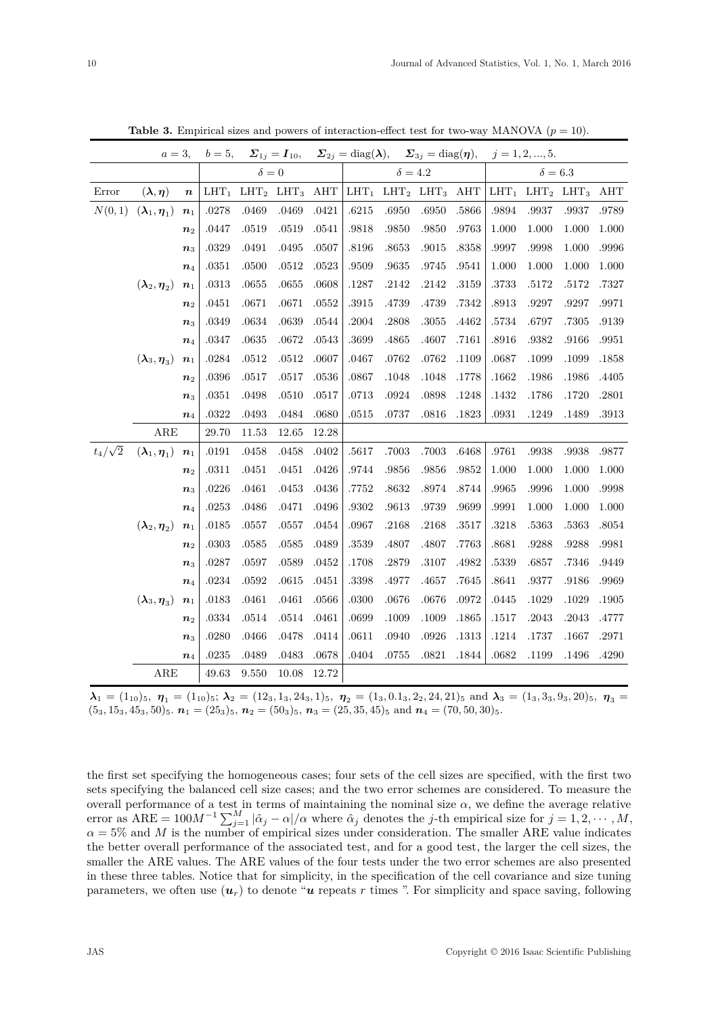|                |                                                | $a=3$ ,<br>$b=5$ , |           | $\Sigma_{1j}=I_{10},$ |                 |       | $\Sigma_{2j} = \text{diag}(\lambda),$ |           | $\Sigma_{3j} = \text{diag}(\boldsymbol{\eta}),$ |       | $j = 1, 2, , 5.$ |                  |           |       |  |
|----------------|------------------------------------------------|--------------------|-----------|-----------------------|-----------------|-------|---------------------------------------|-----------|-------------------------------------------------|-------|------------------|------------------|-----------|-------|--|
|                |                                                |                    |           | $\delta = 0$          |                 |       | $\delta = 4.2$                        |           |                                                 |       | $\delta=6.3$     |                  |           |       |  |
| Error          | $(\boldsymbol{\lambda},\boldsymbol{\eta})$     | $\boldsymbol{n}$   | $LHT_1$   |                       | $LHT_2$ $LHT_3$ | AHT   | $LHT_1$                               |           | $LHT_2$ $LHT_3$                                 | AHT   | $LHT_1$          | LHT <sub>2</sub> | $LHT_3$   | AHT   |  |
| N(0, 1)        | $(\boldsymbol{\lambda}_1,\boldsymbol{\eta}_1)$ | $n_1$              | .0278     | .0469                 | .0469           | .0421 | .6215                                 | .6950     | .6950                                           | .5866 | .9894            | .9937            | .9937     | .9789 |  |
|                |                                                | n <sub>2</sub>     | .0447     | .0519                 | .0519           | .0541 | .9818                                 | .9850     | .9850                                           | .9763 | 1.000            | 1.000            | 1.000     | 1.000 |  |
|                |                                                | $n_3$              | .0329     | .0491                 | .0495           | .0507 | .8196                                 | .8653     | .9015                                           | .8358 | .9997            | .9998            | 1.000     | .9996 |  |
|                |                                                | $n_4$              | .0351     | .0500                 | .0512           | .0523 | .9509                                 | .9635     | $.9745\,$                                       | .9541 | 1.000            | 1.000            | 1.000     | 1.000 |  |
|                | $(\boldsymbol \lambda_2, \boldsymbol \eta_2)$  | $n_1$              | .0313     | .0655                 | .0655           | .0608 | .1287                                 | .2142     | $.2142\,$                                       | .3159 | .3733            | .5172            | .5172     | .7327 |  |
|                |                                                | n <sub>2</sub>     | .0451     | .0671                 | .0671           | .0552 | .3915                                 | .4739     | .4739                                           | .7342 | .8913            | .9297            | .9297     | .9971 |  |
|                |                                                | $n_{3}$            | .0349     | .0634                 | .0639           | .0544 | .2004                                 | .2808     | $.3055\,$                                       | .4462 | .5734            | .6797            | .7305     | .9139 |  |
|                |                                                | $n_4$              | .0347     | .0635                 | $.0672\,$       | .0543 | .3699                                 | .4865     | .4607                                           | .7161 | .8916            | .9382            | .9166     | .9951 |  |
|                | $(\boldsymbol{\lambda}_3,\boldsymbol{\eta}_3)$ | $n_1$              | .0284     | .0512                 | $.0512\,$       | .0607 | .0467                                 | .0762     | $.0762\,$                                       | .1109 | .0687            | .1099            | .1099     | .1858 |  |
|                |                                                | n <sub>2</sub>     | .0396     | .0517                 | .0517           | .0536 | .0867                                 | .1048     | .1048                                           | .1778 | .1662            | .1986            | .1986     | .4405 |  |
|                |                                                | $n_3$              | .0351     | .0498                 | .0510           | .0517 | .0713                                 | .0924     | .0898                                           | .1248 | .1432            | .1786            | .1720     | .2801 |  |
|                |                                                | $\boldsymbol{n}_4$ | $.0322\,$ | .0493                 | $.0484\,$       | .0680 | .0515                                 | .0737     | .0816                                           | .1823 | $.0931\,$        | .1249            | .1489     | .3913 |  |
|                | $_{\rm ARE}$                                   |                    | 29.70     | 11.53                 | 12.65           | 12.28 |                                       |           |                                                 |       |                  |                  |           |       |  |
| $t_4/\sqrt{2}$ | $(\boldsymbol{\lambda}_1,\boldsymbol{\eta}_1)$ | $n_1$              | .0191     | .0458                 | .0458           | .0402 | .5617                                 | .7003     | .7003                                           | .6468 | .9761            | .9938            | .9938     | .9877 |  |
|                |                                                | n <sub>2</sub>     | .0311     | .0451                 | .0451           | .0426 | .9744                                 | .9856     | .9856                                           | .9852 | 1.000            | 1.000            | 1.000     | 1.000 |  |
|                |                                                | $n_{3}$            | .0226     | .0461                 | .0453           | .0436 | .7752                                 | .8632     | .8974                                           | .8744 | .9965            | .9996            | 1.000     | .9998 |  |
|                |                                                | $\boldsymbol{n}_4$ | .0253     | .0486                 | .0471           | .0496 | .9302                                 | .9613     | .9739                                           | .9699 | .9991            | 1.000            | 1.000     | 1.000 |  |
|                | $(\boldsymbol{\lambda}_2,\boldsymbol{\eta}_2)$ | $n_1$              | .0185     | .0557                 | .0557           | .0454 | .0967                                 | .2168     | .2168                                           | .3517 | .3218            | .5363            | .5363     | .8054 |  |
|                |                                                | n <sub>2</sub>     | .0303     | .0585                 | .0585           | .0489 | .3539                                 | .4807     | .4807                                           | .7763 | .8681            | .9288            | .9288     | .9981 |  |
|                |                                                | $n_3$              | .0287     | .0597                 | $.0589\,$       | .0452 | .1708                                 | .2879     | $.3107\,$                                       | .4982 | .5339            | .6857            | .7346     | .9449 |  |
|                |                                                | $n_4$              | .0234     | .0592                 | $.0615\,$       | .0451 | .3398                                 | .4977     | .4657                                           | .7645 | .8641            | .9377            | .9186     | .9969 |  |
|                | $(\boldsymbol{\lambda}_3,\boldsymbol{\eta}_3)$ | $n_1$              | .0183     | .0461                 | .0461           | .0566 | .0300                                 | $.0676\,$ | .0676                                           | .0972 | .0445            | .1029            | $.1029\,$ | .1905 |  |
|                |                                                | n <sub>2</sub>     | .0334     | .0514                 | .0514           | .0461 | .0699                                 | .1009     | .1009                                           | .1865 | .1517            | .2043            | .2043     | .4777 |  |
|                |                                                | $n_3$              | .0280     | .0466                 | .0478           | .0414 | .0611                                 | .0940     | $.0926\,$                                       | .1313 | .1214            | .1737            | .1667     | .2971 |  |
|                |                                                | $n_4$              | $.0235\,$ | .0489                 | .0483           | .0678 | .0404                                 | $.0755\,$ | .0821                                           | .1844 | .0682            | .1199            | .1496     | .4290 |  |
|                | ARE                                            |                    | 49.63     | 9.550                 | 10.08           | 12.72 |                                       |           |                                                 |       |                  |                  |           |       |  |

**Table 3.** Empirical sizes and powers of interaction-effect test for two-way MANOVA  $(p = 10)$ .

 $\lambda_1 = (1_{10})_5$ ,  $\eta_1 = (1_{10})_5$ ;  $\lambda_2 = (12_3, 1_3, 24_3, 1)_5$ ,  $\eta_2 = (1_3, 0.1_3, 2_2, 24, 21)_5$  and  $\lambda_3 = (1_3, 3_3, 9_3, 20)_5$ ,  $\eta_3 = (1_3, 0.1_3, 2_3, 24, 21)_5$  $(53, 153, 453, 50)$ 5.  $n_1 = (253)$ 5,  $n_2 = (503)$ 5,  $n_3 = (25, 35, 45)$ 5 and  $n_4 = (70, 50, 30)$ 5.

the first set specifying the homogeneous cases; four sets of the cell sizes are specified, with the first two sets specifying the balanced cell size cases; and the two error schemes are considered. To measure the overall performance of a test in terms of maintaining the nominal size  $\alpha$ , we define the average relative error as  $ARE = 100M^{-1} \sum_{j=1}^{M} |\hat{\alpha}_j - \alpha|/\alpha$  where  $\hat{\alpha}_j$  denotes the *j*-th empirical size for  $j = 1, 2, \cdots, M$ ,  $\alpha = 5\%$  and *M* is the number of empirical sizes under consideration. The smaller ARE value indicates the better overall performance of the associated test, and for a good test, the larger the cell sizes, the smaller the ARE values. The ARE values of the four tests under the two error schemes are also presented in these three tables. Notice that for simplicity, in the specification of the cell covariance and size tuning parameters, we often use  $(\boldsymbol{u}_r)$  to denote " $\boldsymbol{u}$  repeats  $r$  times ". For simplicity and space saving, following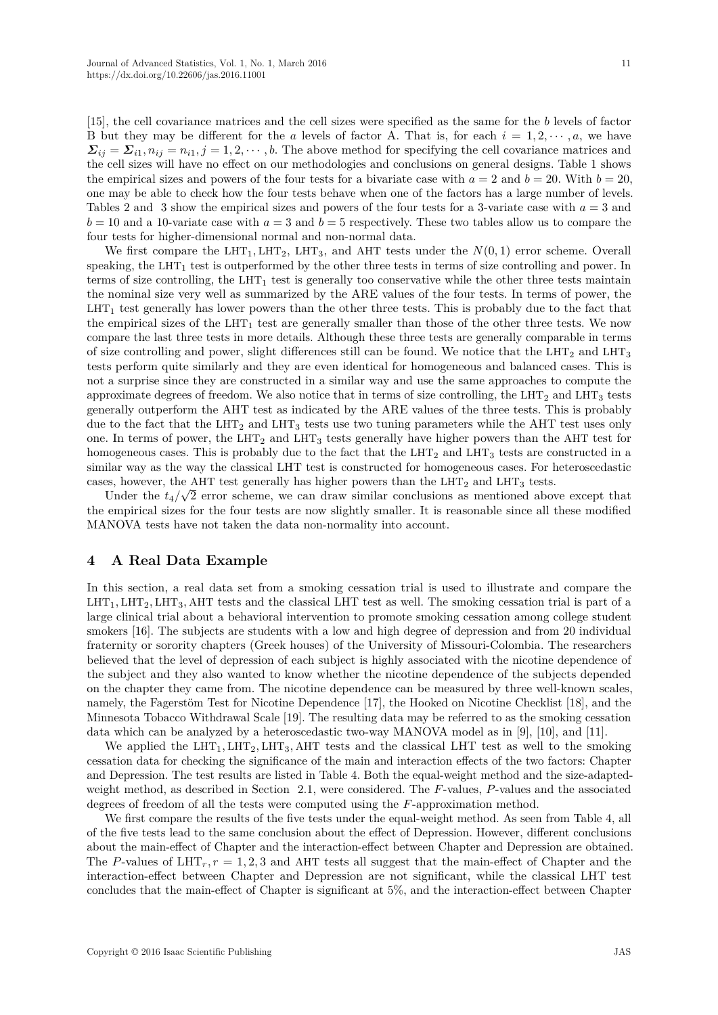[15], the cell covariance matrices and the cell sizes were specified as the same for the *b* levels of factor B but they may be different for the *a* levels of factor A. That is, for each  $i = 1, 2, \dots, a$ , we have  $\Sigma_{ij} = \Sigma_{i1}, n_{ij} = n_{i1}, j = 1, 2, \cdots, b$ . The above method for specifying the cell covariance matrices and the cell sizes will have no effect on our methodologies and conclusions on general designs. Table 1 shows the empirical sizes and powers of the four tests for a bivariate case with  $a = 2$  and  $b = 20$ . With  $b = 20$ , one may be able to check how the four tests behave when one of the factors has a large number of levels. Tables 2 and 3 show the empirical sizes and powers of the four tests for a 3-variate case with  $a = 3$  and  $b = 10$  and a 10-variate case with  $a = 3$  and  $b = 5$  respectively. These two tables allow us to compare the four tests for higher-dimensional normal and non-normal data.

We first compare the  $LHT_1, LHT_2, LHT_3$ , and AHT tests under the  $N(0, 1)$  error scheme. Overall speaking, the  $LHT_1$  test is outperformed by the other three tests in terms of size controlling and power. In terms of size controlling, the  $LHT_1$  test is generally too conservative while the other three tests maintain the nominal size very well as summarized by the ARE values of the four tests. In terms of power, the  $LHT_1$  test generally has lower powers than the other three tests. This is probably due to the fact that the empirical sizes of the  $LHT_1$  test are generally smaller than those of the other three tests. We now compare the last three tests in more details. Although these three tests are generally comparable in terms of size controlling and power, slight differences still can be found. We notice that the  $LHT_2$  and  $LHT_3$ tests perform quite similarly and they are even identical for homogeneous and balanced cases. This is not a surprise since they are constructed in a similar way and use the same approaches to compute the approximate degrees of freedom. We also notice that in terms of size controlling, the  $LHT_2$  and  $LHT_3$  tests generally outperform the AHT test as indicated by the ARE values of the three tests. This is probably due to the fact that the  $LHT_2$  and  $LHT_3$  tests use two tuning parameters while the AHT test uses only one. In terms of power, the  $LHT_2$  and  $LHT_3$  tests generally have higher powers than the AHT test for homogeneous cases. This is probably due to the fact that the  $LHT_2$  and  $LHT_3$  tests are constructed in a similar way as the way the classical LHT test is constructed for homogeneous cases. For heteroscedastic cases, however, the AHT test generally has higher powers than the  $LHT_2$  and  $LHT_3$  tests.

Under the  $t_4/\sqrt{2}$  error scheme, we can draw similar conclusions as mentioned above except that the empirical sizes for the four tests are now slightly smaller. It is reasonable since all these modified MANOVA tests have not taken the data non-normality into account.

## **4 A Real Data Example**

In this section, a real data set from a smoking cessation trial is used to illustrate and compare the  $LHT_1, LHT_2, LHT_3, AHT$  tests and the classical LHT test as well. The smoking cessation trial is part of a large clinical trial about a behavioral intervention to promote smoking cessation among college student smokers [16]. The subjects are students with a low and high degree of depression and from 20 individual fraternity or sorority chapters (Greek houses) of the University of Missouri-Colombia. The researchers believed that the level of depression of each subject is highly associated with the nicotine dependence of the subject and they also wanted to know whether the nicotine dependence of the subjects depended on the chapter they came from. The nicotine dependence can be measured by three well-known scales, namely, the Fagerstöm Test for Nicotine Dependence [17], the Hooked on Nicotine Checklist [18], and the Minnesota Tobacco Withdrawal Scale [19]. The resulting data may be referred to as the smoking cessation data which can be analyzed by a heteroscedastic two-way MANOVA model as in [9], [10], and [11].

We applied the  $LHT_1, LHT_2, LHT_3, AHT$  tests and the classical LHT test as well to the smoking cessation data for checking the significance of the main and interaction effects of the two factors: Chapter and Depression. The test results are listed in Table 4. Both the equal-weight method and the size-adaptedweight method, as described in Section 2.1, were considered. The *F*-values, *P*-values and the associated degrees of freedom of all the tests were computed using the *F*-approximation method.

We first compare the results of the five tests under the equal-weight method. As seen from Table 4, all of the five tests lead to the same conclusion about the effect of Depression. However, different conclusions about the main-effect of Chapter and the interaction-effect between Chapter and Depression are obtained. The *P*-values of  $LHT_r$ ,  $r = 1, 2, 3$  and AHT tests all suggest that the main-effect of Chapter and the interaction-effect between Chapter and Depression are not significant, while the classical LHT test concludes that the main-effect of Chapter is significant at 5%, and the interaction-effect between Chapter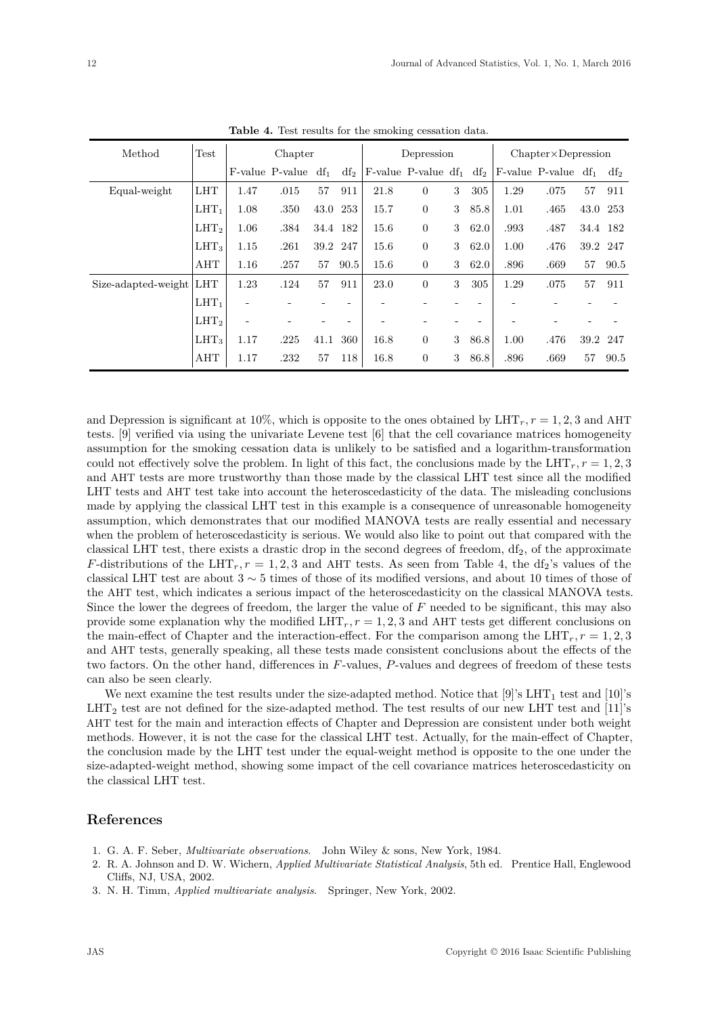| Method                  | Test<br>Chapter  |      |                                       |          | Depression |      |                              | $Chapter \times Depression$ |        |      |                                    |          |      |
|-------------------------|------------------|------|---------------------------------------|----------|------------|------|------------------------------|-----------------------------|--------|------|------------------------------------|----------|------|
|                         |                  |      | $F$ -value $P$ -value df <sub>1</sub> |          | $df_2$     |      | $F$ -value $P$ -value $df_1$ |                             | $df_2$ |      | F-value $P$ -value df <sub>1</sub> |          | df2  |
| Equal-weight            | <b>LHT</b>       | 1.47 | .015                                  | 57       | 911        | 21.8 | $\overline{0}$               | 3                           | 305    | 1.29 | .075                               | 57       | 911  |
|                         | $LHT_1$          | 1.08 | .350                                  | 43.0     | 253        | 15.7 | $\overline{0}$               | 3                           | 85.8   | 1.01 | .465                               | 43.0 253 |      |
|                         | LHT <sub>2</sub> | 1.06 | .384                                  | 34.4 182 |            | 15.6 | $\overline{0}$               | 3                           | 62.0   | .993 | .487                               | 34.4 182 |      |
|                         | LHT <sub>3</sub> | 1.15 | .261                                  | 39.2     | 247        | 15.6 | $\overline{0}$               | 3                           | 62.0   | 1.00 | .476                               | 39.2     | 247  |
|                         | AHT              | 1.16 | .257                                  | 57       | 90.5       | 15.6 | $\overline{0}$               | 3                           | 62.0   | .896 | .669                               | 57       | 90.5 |
| Size-adapted-weight LHT |                  | 1.23 | .124                                  | 57       | 911        | 23.0 | $\overline{0}$               | 3                           | 305    | 1.29 | .075                               | 57       | 911  |
|                         | $LHT_1$          |      |                                       |          |            |      |                              |                             |        |      |                                    |          |      |
|                         | LHT <sub>2</sub> |      |                                       |          |            |      |                              |                             |        |      |                                    |          |      |
|                         | $LHT_3$          | 1.17 | .225                                  | 41.1     | 360        | 16.8 | $\overline{0}$               | 3                           | 86.8   | 1.00 | .476                               | 39.2     | 247  |
|                         | AHT              | 1.17 | .232                                  | 57       | 118        | 16.8 | $\boldsymbol{0}$             | 3                           | 86.8   | .896 | .669                               | 57       | 90.5 |

**Table 4.** Test results for the smoking cessation data.

and Depression is significant at 10%, which is opposite to the ones obtained by  $LHT_r$ ,  $r = 1, 2, 3$  and AHT tests. [9] verified via using the univariate Levene test [6] that the cell covariance matrices homogeneity assumption for the smoking cessation data is unlikely to be satisfied and a logarithm-transformation could not effectively solve the problem. In light of this fact, the conclusions made by the  $LHT_r$ ,  $r = 1, 2, 3$ and AHT tests are more trustworthy than those made by the classical LHT test since all the modified LHT tests and AHT test take into account the heteroscedasticity of the data. The misleading conclusions made by applying the classical LHT test in this example is a consequence of unreasonable homogeneity assumption, which demonstrates that our modified MANOVA tests are really essential and necessary when the problem of heteroscedasticity is serious. We would also like to point out that compared with the classical LHT test, there exists a drastic drop in the second degrees of freedom,  $df_2$ , of the approximate *F*-distributions of the LHT<sub>*r*</sub>,  $r = 1, 2, 3$  and AHT tests. As seen from Table 4, the df<sub>2</sub>'s values of the classical LHT test are about  $3 \sim 5$  times of those of its modified versions, and about 10 times of those of the AHT test, which indicates a serious impact of the heteroscedasticity on the classical MANOVA tests. Since the lower the degrees of freedom, the larger the value of *F* needed to be significant, this may also provide some explanation why the modified  $LHT_r$ ,  $r = 1, 2, 3$  and AHT tests get different conclusions on the main-effect of Chapter and the interaction-effect. For the comparison among the  $LHT_r$ ,  $r = 1, 2, 3$ and AHT tests, generally speaking, all these tests made consistent conclusions about the effects of the two factors. On the other hand, differences in *F*-values, *P*-values and degrees of freedom of these tests can also be seen clearly.

We next examine the test results under the size-adapted method. Notice that [9]'s  $LHT_1$  test and [10]'s  $LHT<sub>2</sub>$  test are not defined for the size-adapted method. The test results of our new LHT test and [11]'s AHT test for the main and interaction effects of Chapter and Depression are consistent under both weight methods. However, it is not the case for the classical LHT test. Actually, for the main-effect of Chapter, the conclusion made by the LHT test under the equal-weight method is opposite to the one under the size-adapted-weight method, showing some impact of the cell covariance matrices heteroscedasticity on the classical LHT test.

# **References**

- 1. G. A. F. Seber, *Multivariate observations*. John Wiley & sons, New York, 1984.
- 2. R. A. Johnson and D. W. Wichern, *Applied Multivariate Statistical Analysis*, 5th ed. Prentice Hall, Englewood Cliffs, NJ, USA, 2002.
- 3. N. H. Timm, *Applied multivariate analysis*. Springer, New York, 2002.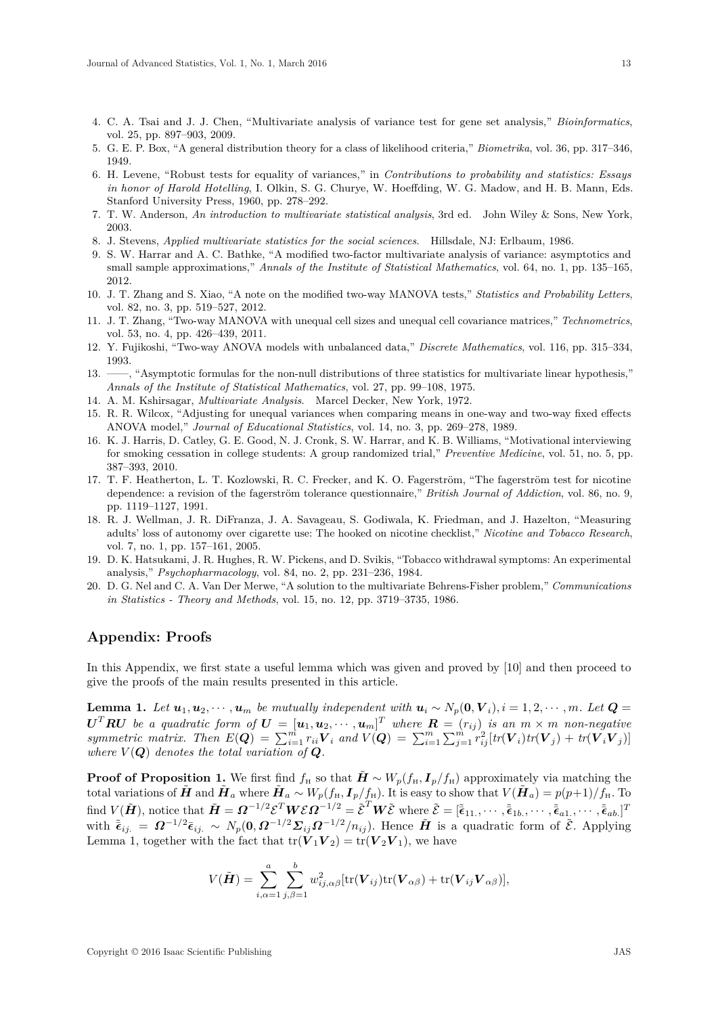- 4. C. A. Tsai and J. J. Chen, "Multivariate analysis of variance test for gene set analysis," *Bioinformatics*, vol. 25, pp. 897–903, 2009.
- 5. G. E. P. Box, "A general distribution theory for a class of likelihood criteria," *Biometrika*, vol. 36, pp. 317–346, 1949.
- 6. H. Levene, "Robust tests for equality of variances," in *Contributions to probability and statistics: Essays in honor of Harold Hotelling*, I. Olkin, S. G. Churye, W. Hoeffding, W. G. Madow, and H. B. Mann, Eds. Stanford University Press, 1960, pp. 278–292.
- 7. T. W. Anderson, *An introduction to multivariate statistical analysis*, 3rd ed. John Wiley & Sons, New York, 2003.
- 8. J. Stevens, *Applied multivariate statistics for the social sciences*. Hillsdale, NJ: Erlbaum, 1986.
- 9. S. W. Harrar and A. C. Bathke, "A modified two-factor multivariate analysis of variance: asymptotics and small sample approximations," *Annals of the Institute of Statistical Mathematics*, vol. 64, no. 1, pp. 135–165, 2012.
- 10. J. T. Zhang and S. Xiao, "A note on the modified two-way MANOVA tests," *Statistics and Probability Letters*, vol. 82, no. 3, pp. 519–527, 2012.
- 11. J. T. Zhang, "Two-way MANOVA with unequal cell sizes and unequal cell covariance matrices," *Technometrics*, vol. 53, no. 4, pp. 426–439, 2011.
- 12. Y. Fujikoshi, "Two-way ANOVA models with unbalanced data," *Discrete Mathematics*, vol. 116, pp. 315–334, 1993.
- 13. ——, "Asymptotic formulas for the non-null distributions of three statistics for multivariate linear hypothesis," *Annals of the Institute of Statistical Mathematics*, vol. 27, pp. 99–108, 1975.
- 14. A. M. Kshirsagar, *Multivariate Analysis*. Marcel Decker, New York, 1972.
- 15. R. R. Wilcox, "Adjusting for unequal variances when comparing means in one-way and two-way fixed effects ANOVA model," *Journal of Educational Statistics*, vol. 14, no. 3, pp. 269–278, 1989.
- 16. K. J. Harris, D. Catley, G. E. Good, N. J. Cronk, S. W. Harrar, and K. B. Williams, "Motivational interviewing for smoking cessation in college students: A group randomized trial," *Preventive Medicine*, vol. 51, no. 5, pp. 387–393, 2010.
- 17. T. F. Heatherton, L. T. Kozlowski, R. C. Frecker, and K. O. Fagerström, "The fagerström test for nicotine dependence: a revision of the fagerström tolerance questionnaire," *British Journal of Addiction*, vol. 86, no. 9, pp. 1119–1127, 1991.
- 18. R. J. Wellman, J. R. DiFranza, J. A. Savageau, S. Godiwala, K. Friedman, and J. Hazelton, "Measuring adults' loss of autonomy over cigarette use: The hooked on nicotine checklist," *Nicotine and Tobacco Research*, vol. 7, no. 1, pp. 157–161, 2005.
- 19. D. K. Hatsukami, J. R. Hughes, R. W. Pickens, and D. Svikis, "Tobacco withdrawal symptoms: An experimental analysis," *Psychopharmacology*, vol. 84, no. 2, pp. 231–236, 1984.
- 20. D. G. Nel and C. A. Van Der Merwe, "A solution to the multivariate Behrens-Fisher problem," *Communications in Statistics - Theory and Methods*, vol. 15, no. 12, pp. 3719–3735, 1986.

# **Appendix: Proofs**

In this Appendix, we first state a useful lemma which was given and proved by [10] and then proceed to give the proofs of the main results presented in this article.

**Lemma 1.** Let  $u_1, u_2, \dots, u_m$  be mutually independent with  $u_i \sim N_p(0, V_i), i = 1, 2, \dots, m$ . Let  $Q =$  $\boldsymbol{U}^T\boldsymbol{R}\boldsymbol{U}$  be a quadratic form of  $\boldsymbol{U}=[\boldsymbol{u}_1,\boldsymbol{u}_2,\cdots,\boldsymbol{u}_m]^T$  where  $\boldsymbol{R}=(r_{ij})$  is an  $m\times m$  non-negative symmetric matrix. Then  $E(\mathbf{Q}) = \sum_{i=1}^{m} r_{ii} \mathbf{V}_i$  and  $V(\mathbf{Q}) = \sum_{i=1}^{m} \sum_{j=1}^{m} r_{ij}^2 [tr(\mathbf{V}_i) tr(\mathbf{V}_j) + tr(\mathbf{V}_i \mathbf{V}_j)]$ where  $V(Q)$  denotes the total variation of  $Q$ .

**Proof of Proposition 1.** We first find  $f_H$  so that  $\tilde{H} \sim W_p(f_H, I_p/f_H)$  approximately via matching the total variations of  $\tilde{H}$  and  $\tilde{H}_a$  where  $\tilde{H}_a \sim W_p(f_H, I_p/f_H)$ . It is easy to show that  $V(\tilde{H}_a) = p(p+1)/f_H$ . To find  $V(\tilde{\boldsymbol{H}})$ , notice that  $\tilde{\boldsymbol{H}} = \boldsymbol{\Omega}^{-1/2} \boldsymbol{\mathcal{E}}^T \boldsymbol{W} \boldsymbol{\mathcal{E}} \boldsymbol{\Omega}^{-1/2} = \tilde{\boldsymbol{\mathcal{E}}}^T \boldsymbol{W} \tilde{\boldsymbol{\mathcal{E}}}$  where  $\tilde{\boldsymbol{\mathcal{E}}} = [\tilde{\bar{\boldsymbol{\epsilon}}}_{11}, \cdots, \tilde{\bar{\boldsymbol{\epsilon}}}_{1b}, \cdots, \tilde{\bar{\boldsymbol{\epsilon}}}_{a1}, \cdots, \tilde{\bar{\boldsymbol{\epsilon}}}_{ab}]^T$ with  $\tilde{\epsilon}_{ij.} = \Omega^{-1/2} \bar{\epsilon}_{ij.} \sim N_p(0, \Omega^{-1/2} \Sigma_{ij} \Omega^{-1/2} / n_{ij}).$  Hence  $\tilde{H}$  is a quadratic form of  $\tilde{\mathcal{E}}$ . Applying Lemma 1, together with the fact that  $tr(\hat{\boldsymbol{V}}_1 \boldsymbol{V}_2) = tr(\boldsymbol{V}_2 \boldsymbol{V}_1)$ , we have

$$
V(\tilde{\boldsymbol{H}}) = \sum_{i,\alpha=1}^{a} \sum_{j,\beta=1}^{b} w_{ij,\alpha\beta}^{2} [\text{tr}(\boldsymbol{V}_{ij}) \text{tr}(\boldsymbol{V}_{\alpha\beta}) + \text{tr}(\boldsymbol{V}_{ij} \boldsymbol{V}_{\alpha\beta})],
$$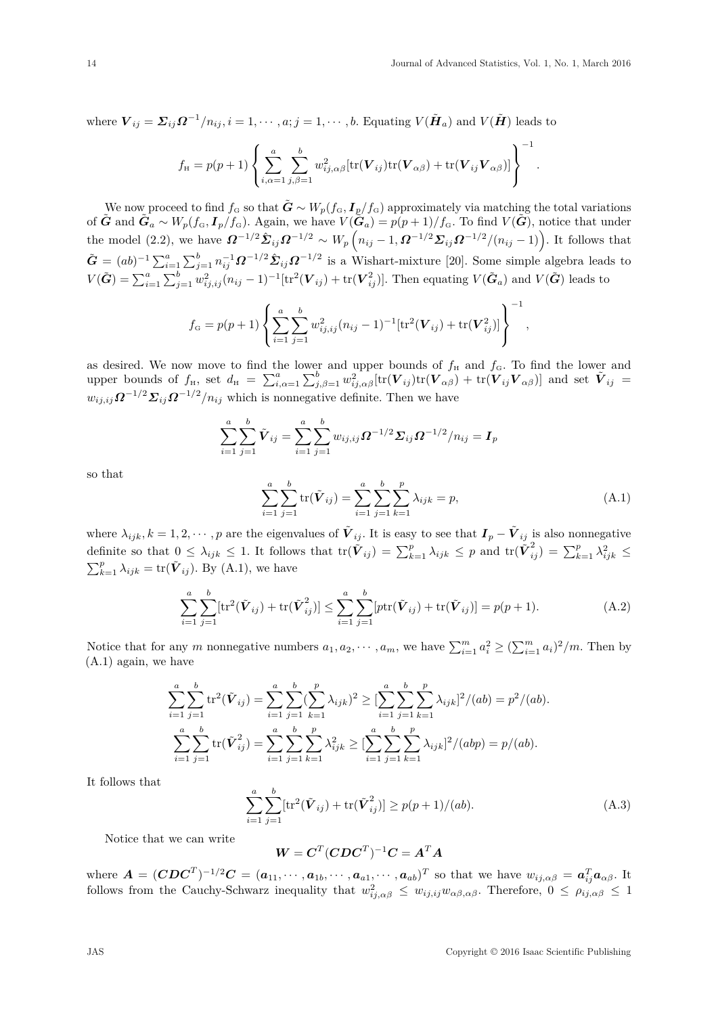where  $\bm{V}_{ij} = \bm{\Sigma}_{ij} \bm{\Omega}^{-1}/n_{ij}$ ,  $i = 1, \cdots, a; j = 1, \cdots, b$ . Equating  $V(\tilde{\bm{H}}_a)$  and  $V(\tilde{\bm{H}})$  leads to

$$
f_{\rm H} = p(p+1) \left\{ \sum_{i,\alpha=1}^{a} \sum_{j,\beta=1}^{b} w_{ij,\alpha\beta}^{2} [\text{tr}(\boldsymbol{V}_{ij}) \text{tr}(\boldsymbol{V}_{\alpha\beta}) + \text{tr}(\boldsymbol{V}_{ij} \boldsymbol{V}_{\alpha\beta})] \right\}^{-1}.
$$

We now proceed to find  $f_G$  so that  $\tilde{G} \sim W_p(f_G, I_p/f_G)$  approximately via matching the total variations of  $\tilde{G}$  and  $\tilde{G}_a \sim W_p(f_G, I_p/f_G)$ . Again, we have  $V(\tilde{G}_a) = p(p+1)/f_G$ . To find  $V(\tilde{G})$ , notice that under the model (2.2), we have  $\Omega^{-1/2} \hat{\Sigma}_{ij} \Omega^{-1/2} \sim W_p (n_{ij} - 1, \Omega^{-1/2} \Sigma_{ij} \Omega^{-1/2} / (n_{ij} - 1)).$  It follows that  $\tilde{G} = (ab)^{-1} \sum_{i=1}^{a} \sum_{j=1}^{b} n_{ij}^{-1} \Omega^{-1/2} \hat{\Sigma}_{ij} \Omega^{-1/2}$  is a Wishart-mixture [20]. Some simple algebra leads to  $V(\tilde{G}) = \sum_{i=1}^{a} \sum_{j=1}^{b} w_{ij,ij}^2 (n_{ij} - 1)^{-1} [\text{tr}^2(\boldsymbol{V}_{ij}) + \text{tr}(\boldsymbol{V}_{ij}^2)].$  Then equating  $V(\tilde{G}_a)$  and  $V(\tilde{G})$  leads to

$$
f_{\rm G} = p(p+1) \left\{ \sum_{i=1}^{a} \sum_{j=1}^{b} w_{ij,ij}^{2} (n_{ij} - 1)^{-1} [\text{tr}^{2}(\boldsymbol{V}_{ij}) + \text{tr}(\boldsymbol{V}_{ij}^{2})] \right\}^{-1},
$$

as desired. We now move to find the lower and upper bounds of  $f_H$  and  $f_G$ . To find the lower and upper bounds of  $f_{\text{H}}$ , set  $d_{\text{H}} = \sum_{i,\alpha=1}^{a} \sum_{j,\beta=1}^{b} w_{ij,\alpha\beta}^{2} [\text{tr}(\boldsymbol{V}_{ij}) \text{tr}(\boldsymbol{V}_{\alpha\beta}) + \text{tr}(\boldsymbol{V}_{ij} \boldsymbol{V}_{\alpha\beta})]$  and set  $\tilde{\boldsymbol{V}}_{ij} =$  $w_{ij,ij}$  $Q^{-1/2} \Sigma_{ij} Q^{-1/2} / n_{ij}$  which is nonnegative definite. Then we have

$$
\sum_{i=1}^{a} \sum_{j=1}^{b} \tilde{V}_{ij} = \sum_{i=1}^{a} \sum_{j=1}^{b} w_{ij,ij} \Omega^{-1/2} \Sigma_{ij} \Omega^{-1/2} / n_{ij} = I_p
$$

so that

$$
\sum_{i=1}^{a} \sum_{j=1}^{b} \text{tr}(\tilde{\boldsymbol{V}}_{ij}) = \sum_{i=1}^{a} \sum_{j=1}^{b} \sum_{k=1}^{p} \lambda_{ijk} = p,
$$
\n(A.1)

where  $\lambda_{ijk}$ ,  $k = 1, 2, \dots, p$  are the eigenvalues of  $\tilde{V}_{ij}$ . It is easy to see that  $I_p - \tilde{V}_{ij}$  is also nonnegative definite so that  $0 \leq \lambda_{ijk} \leq 1$ . It follows that  $tr(\tilde{\boldsymbol{V}}_{ij}) = \sum_{k=1}^p \lambda_{ijk} \leq p$  and  $tr(\tilde{\boldsymbol{V}}_{ij}^2) = \sum_{k=1}^p \lambda_{ijk}^2 \leq$  $\sum_{k=1}^{p} \lambda_{ijk} = \text{tr}(\tilde{\boldsymbol{V}}_{ij})$ . By (A.1), we have

$$
\sum_{i=1}^{a} \sum_{j=1}^{b} [\text{tr}^{2}(\tilde{\boldsymbol{V}}_{ij}) + \text{tr}(\tilde{\boldsymbol{V}}_{ij}^{2})] \leq \sum_{i=1}^{a} \sum_{j=1}^{b} [\text{ptr}(\tilde{\boldsymbol{V}}_{ij}) + \text{tr}(\tilde{\boldsymbol{V}}_{ij})] = p(p+1).
$$
\n(A.2)

Notice that for any *m* nonnegative numbers  $a_1, a_2, \dots, a_m$ , we have  $\sum_{i=1}^m a_i^2 \geq (\sum_{i=1}^m a_i)^2/m$ . Then by (A.1) again, we have

$$
\sum_{i=1}^{a} \sum_{j=1}^{b} \text{tr}^{2}(\tilde{\mathbf{V}}_{ij}) = \sum_{i=1}^{a} \sum_{j=1}^{b} (\sum_{k=1}^{p} \lambda_{ijk})^{2} \geq \left[ \sum_{i=1}^{a} \sum_{j=1}^{b} \sum_{k=1}^{p} \lambda_{ijk} \right]^{2} / (ab) = p^{2} / (ab).
$$
  

$$
\sum_{i=1}^{a} \sum_{j=1}^{b} \text{tr}(\tilde{\mathbf{V}}_{ij}^{2}) = \sum_{i=1}^{a} \sum_{j=1}^{b} \sum_{k=1}^{p} \lambda_{ijk}^{2} \geq \left[ \sum_{i=1}^{a} \sum_{j=1}^{b} \sum_{k=1}^{p} \lambda_{ijk} \right]^{2} / (abp) = p / (ab).
$$

It follows that

$$
\sum_{i=1}^{a} \sum_{j=1}^{b} [\text{tr}^{2}(\tilde{\boldsymbol{V}}_{ij}) + \text{tr}(\tilde{\boldsymbol{V}}_{ij}^{2})] \ge p(p+1)/(ab). \tag{A.3}
$$

Notice that we can write

 $\boldsymbol{W} = \boldsymbol{C}^T(\boldsymbol{C} \boldsymbol{D} \boldsymbol{C}^T)^{-1} \boldsymbol{C} = \boldsymbol{A}^T \boldsymbol{A}$ 

where  $\boldsymbol{A} = (\boldsymbol{C}\boldsymbol{D}\boldsymbol{C}^T)^{-1/2}\boldsymbol{C} = (\boldsymbol{a}_{11}, \cdots, \boldsymbol{a}_{1b}, \cdots, \boldsymbol{a}_{a1}, \cdots, \boldsymbol{a}_{ab})^T$  so that we have  $w_{ij,\alpha\beta} = \boldsymbol{a}_{ij}^T \boldsymbol{a}_{\alpha\beta}$ . It follows from the Cauchy-Schwarz inequality that  $w_{ij,\alpha\beta}^2 \leq w_{ij,ij}w_{\alpha\beta,\alpha\beta}$ . Therefore,  $0 \leq \rho_{ij,\alpha\beta} \leq 1$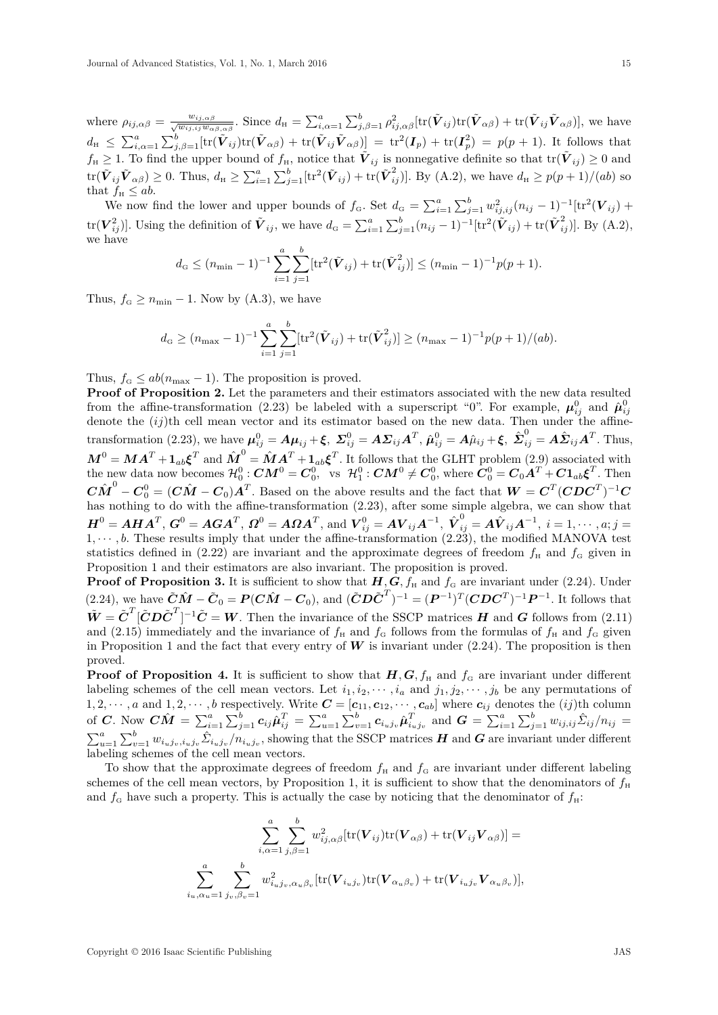where  $\rho_{ij,\alpha\beta} = \frac{w_{ij,\alpha\beta}}{\sqrt{w_{ij,ij}w_{\alpha\beta,\alpha\beta}}}$ . Since  $d_{\rm H} = \sum_{i,\alpha=1}^a \sum_{j,\beta=1}^b \rho_{ij,\alpha\beta}^2 \left[{\rm tr}(\tilde{\boldsymbol{V}}_{ij}){\rm tr}(\tilde{\boldsymbol{V}}_{\alpha\beta}) + {\rm tr}(\tilde{\boldsymbol{V}}_{ij}\tilde{\boldsymbol{V}}_{\alpha\beta})\right],$  we have  $d_{\textrm{\tiny H}} \leq \sum_{i,\alpha=1}^a \sum_{j,\beta=1}^b [\textrm{tr}(\tilde{\boldsymbol{V}}_{ij}) \textrm{tr}(\tilde{\boldsymbol{V}}_{\alpha\beta}) + \textrm{tr}(\tilde{\boldsymbol{V}}_{ij} \tilde{\boldsymbol{V}}_{\alpha\beta})] = \textrm{tr}^2(\boldsymbol{I}_p) + \textrm{tr}(\boldsymbol{I}_p^2) = p(p+1).$  It follows that  $f_{\text{H}} \geq 1$ . To find the upper bound of  $f_{\text{H}}$ , notice that  $\tilde{V}_{ij}$  is nonnegative definite so that  $\text{tr}(\tilde{V}_{ij}) \geq 0$  and  $\text{tr}(\tilde{\boldsymbol{V}}_{ij}\tilde{\boldsymbol{V}}_{\alpha\beta}) \geq 0$ . Thus,  $d_{\text{H}} \geq \sum_{i=1}^{a} \sum_{j=1}^{b} [\text{tr}^2(\tilde{\boldsymbol{V}}_{ij}) + \text{tr}(\tilde{\boldsymbol{V}}_{ij}^2)]$ . By (A.2), we have  $d_{\text{H}} \geq p(p+1)/(ab)$  so that  $f_{\text{H}} \le ab$ .

We now find the lower and upper bounds of  $f_{\rm G}$ . Set  $d_{\rm G} = \sum_{i=1}^a \sum_{j=1}^b w_{ij,ij}^2 (n_{ij} - 1)^{-1} [\text{tr}^2(\boldsymbol{V}_{ij}) +$ tr $(\boldsymbol{V}_{ij}^2)$ ]. Using the definition of  $\tilde{V}_{ij}$ , we have  $d_G = \sum_{i=1}^a \sum_{j=1}^b (n_{ij} - 1)^{-1} [\text{tr}^2(\tilde{V}_{ij}) + \text{tr}(\tilde{V}_{ij}^2)]$ . By (A.2), we have

$$
d_{\mathrm{G}} \leq (n_{\min} - 1)^{-1} \sum_{i=1}^{a} \sum_{j=1}^{b} [\mathrm{tr}^{2}(\tilde{\boldsymbol{V}}_{ij}) + \mathrm{tr}(\tilde{\boldsymbol{V}}_{ij}^{2})] \leq (n_{\min} - 1)^{-1} p(p+1).
$$

Thus,  $f_{\rm G} \ge n_{\rm min} - 1$ . Now by (A.3), we have

$$
d_{\mathcal{G}} \ge (n_{\max} - 1)^{-1} \sum_{i=1}^{a} \sum_{j=1}^{b} [\text{tr}^2(\tilde{\boldsymbol{V}}_{ij}) + \text{tr}(\tilde{\boldsymbol{V}}_{ij}^2)] \ge (n_{\max} - 1)^{-1} p(p+1)/(ab).
$$

Thus,  $f_{\rm G} \le ab(n_{\rm max} - 1)$ . The proposition is proved.

**Proof of Proposition 2.** Let the parameters and their estimators associated with the new data resulted from the affine-transformation (2.23) be labeled with a superscript "0". For example,  $\mu_{ij}^0$  and  $\hat{\mu}_{ij}^0$ denote the (ij)th cell mean vector and its estimator based on the new data. Then under the affinetransformation (2.23), we have  $\boldsymbol{\mu}_{ij}^0 = A\boldsymbol{\mu}_{ij} + \boldsymbol{\xi}, \ \boldsymbol{\Sigma}_{ij}^0 = A\boldsymbol{\Sigma}_{ij}A^T, \ \hat{\boldsymbol{\mu}}_{ij}^0 = A\hat{\mu}_{ij} + \boldsymbol{\xi}, \ \hat{\boldsymbol{\Sigma}}_{ij}^0 = A\hat{\boldsymbol{\Sigma}}_{ij}A^T.$  Thus,  $M^0 = MA^T + \mathbf{1}_{ab} \boldsymbol{\xi}^T$  and  $\hat{M}^0 = \hat{M} A^T + \mathbf{1}_{ab} \boldsymbol{\xi}^T$ . It follows that the GLHT problem (2.9) associated with the new data now becomes  $\mathcal{H}_0^0$  :  $\boldsymbol{C}\boldsymbol{M}^0 = \boldsymbol{C}_0^0$ , vs  $\mathcal{H}_1^0$  :  $\boldsymbol{C}\boldsymbol{M}^0 \neq \boldsymbol{C}_0^0$ , where  $\boldsymbol{C}_0^0 = \boldsymbol{C}_0\boldsymbol{A}^T + \boldsymbol{C}\boldsymbol{1}_{ab}\boldsymbol{\xi}^T$ . Then  $C\hat{M}^0 - C_0^0 = (C\hat{M} - C_0)A^T$ . Based on the above results and the fact that  $W = C^T (CDC^T)^{-1}C$ has nothing to do with the affine-transformation (2.23), after some simple algebra, we can show that  $\boldsymbol{H}^0 = \boldsymbol{A}\boldsymbol{H}\boldsymbol{A}^T,\,\boldsymbol{G}^0 = \boldsymbol{A}\boldsymbol{G}\boldsymbol{A}^T,\,\boldsymbol{\Omega}^0 = \boldsymbol{A}\boldsymbol{\Omega}\boldsymbol{A}^T,\,\text{and}\,\,\boldsymbol{V}^0_{ij} = \boldsymbol{A}\boldsymbol{V}_{ij}\boldsymbol{A}^{-1},\,\,\hat{\boldsymbol{V}}^0_{ij} = \boldsymbol{A}\hat{\boldsymbol{V}}_{ij}\boldsymbol{A}^{-1},\,\,i=1,\cdots,a;j=1,\cdots,d$  $1, \dots, b$ . These results imply that under the affine-transformation  $(2.23)$ , the modified MANOVA test statistics defined in (2.22) are invariant and the approximate degrees of freedom  $f_{\rm H}$  and  $f_{\rm G}$  given in Proposition 1 and their estimators are also invariant. The proposition is proved.

**Proof of Proposition 3.** It is sufficient to show that  $H$ *,*  $G$ *,*  $f$ <sup>H</sup> and  $f$ <sup>G</sup> are invariant under (2.24). Under (2.24), we have  $\tilde{C}\hat{M} - \tilde{C}_0 = P(C\hat{M} - C_0)$ , and  $(\tilde{C}D\tilde{C}^T)^{-1} = (P^{-1})^T (CDC^T)^{-1}P^{-1}$ . It follows that  $\tilde{W} = \tilde{C}^T[\tilde{C}D\tilde{C}^T]^{-1}\tilde{C} = W$ . Then the invariance of the SSCP matrices *H* and *G* follows from (2.11) and (2.15) immediately and the invariance of  $f_H$  and  $f_G$  follows from the formulas of  $f_H$  and  $f_G$  given in Proposition 1 and the fact that every entry of  $W$  is invariant under  $(2.24)$ . The proposition is then proved.

**Proof of Proposition 4.** It is sufficient to show that  $H$ ,  $G$ ,  $f$ <sub>H</sub> and  $f$ <sub>G</sub> are invariant under different labeling schemes of the cell mean vectors. Let  $i_1, i_2, \dots, i_a$  and  $j_1, j_2, \dots, j_b$  be any permutations of  $1, 2, \dots, a$  and  $1, 2, \dots, b$  respectively. Write  $\mathbf{C} = [\mathbf{c}_{11}, \mathbf{c}_{12}, \dots, \mathbf{c}_{ab}]$  where  $\mathbf{c}_{ij}$  denotes the  $(ij)$ th column of C. Now  $C\hat{M} = \sum_{i=1}^{a} \sum_{j=1}^{b} c_{ij} \hat{\mu}_{ij}^{T} = \sum_{u=1}^{a} \sum_{v=1}^{b} c_{i_u j_v} \hat{\mu}_{i_u j_v}^{T}$  and  $G = \sum_{i=1}^{a} \sum_{j=1}^{b} w_{ij,ij} \hat{\Sigma}_{ij} / n_{ij} =$  $\sum_{u=1}^{a} \sum_{v=1}^{b} w_{i_u j_v, i_u j_v} \hat{\mathcal{L}}_{i_u j_v} / n_{i_u j_v}$ , showing that the SSCP matrices  $H$  and  $G$  are invariant under different labeling schemes of the cell mean vectors.

To show that the approximate degrees of freedom  $f_H$  and  $f_G$  are invariant under different labeling schemes of the cell mean vectors, by Proposition 1, it is sufficient to show that the denominators of  $f_H$ and  $f_G$  have such a property. This is actually the case by noticing that the denominator of  $f_H$ :

$$
\sum_{i,\alpha=1}^{a} \sum_{j,\beta=1}^{b} w_{ij,\alpha\beta}^{2} [\text{tr}(\boldsymbol{V}_{ij}) \text{tr}(\boldsymbol{V}_{\alpha\beta}) + \text{tr}(\boldsymbol{V}_{ij} \boldsymbol{V}_{\alpha\beta})] =
$$

$$
\sum_{i_u,\alpha_u=1}^{a} \sum_{j_v,\beta_v=1}^{b} w_{i_uj_v,\alpha_u\beta_v}^{2} [\text{tr}(\boldsymbol{V}_{i_uj_v}) \text{tr}(\boldsymbol{V}_{\alpha_u\beta_v}) + \text{tr}(\boldsymbol{V}_{i_uj_v} \boldsymbol{V}_{\alpha_u\beta_v})],
$$